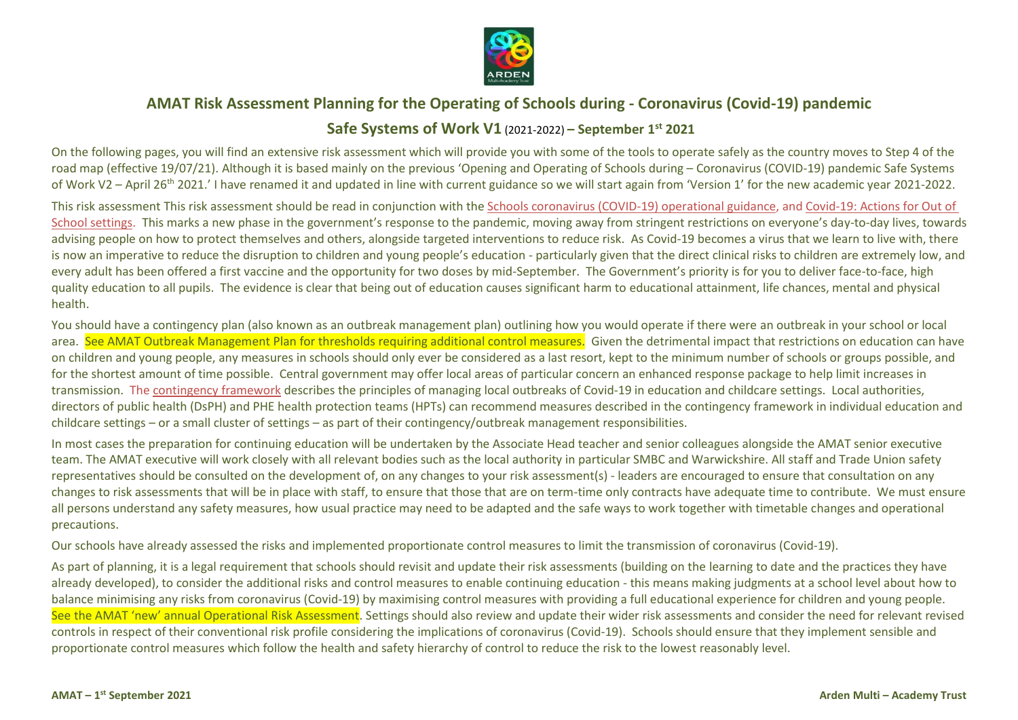

## **AMAT Risk Assessment Planning for the Operating of Schools during - Coronavirus (Covid-19) pandemic**

## **Safe Systems of Work V1** (2021-2022) **– September 1st 2021**

On the following pages, you will find an extensive risk assessment which will provide you with some of the tools to operate safely as the country moves to Step 4 of the road map (effective 19/07/21). Although it is based mainly on the previous 'Opening and Operating of Schools during – Coronavirus (COVID-19) pandemic Safe Systems of Work V2 – April 26<sup>th</sup> 2021.' I have renamed it and updated in line with current guidance so we will start again from 'Version 1' for the new academic year 2021-2022.

This risk assessment This risk assessment should be read in conjunction with the [Schools coronavirus \(COVID-19\) operational guidance,](https://www.gov.uk/government/publications/actions-for-schools-during-the-coronavirus-outbreak/schools-covid-19-operational-guidance) and [Covid-19: Actions for Out of](https://www.gov.uk/government/publications/protective-measures-for-holiday-or-after-school-clubs-and-other-out-of-school-settings-for-children-during-the-coronavirus-covid-19-outbreak/covid-19-actions-for-out-of-school-settings)  [School settings.](https://www.gov.uk/government/publications/protective-measures-for-holiday-or-after-school-clubs-and-other-out-of-school-settings-for-children-during-the-coronavirus-covid-19-outbreak/covid-19-actions-for-out-of-school-settings) This marks a new phase in the government's response to the pandemic, moving away from stringent restrictions on everyone's day-to-day lives, towards advising people on how to protect themselves and others, alongside targeted interventions to reduce risk. As Covid-19 becomes a virus that we learn to live with, there is now an imperative to reduce the disruption to children and young people's education - particularly given that the direct clinical risks to children are extremely low, and every adult has been offered a first vaccine and the opportunity for two doses by mid-September. The Government's priority is for you to deliver face-to-face, high quality education to all pupils. The evidence is clear that being out of education causes significant harm to educational attainment, life chances, mental and physical health.

You should have a contingency plan (also known as an outbreak management plan) outlining how you would operate if there were an outbreak in your school or local area. See AMAT Outbreak Management Plan for thresholds requiring additional control measures. Given the detrimental impact that restrictions on education can have on children and young people, any measures in schools should only ever be considered as a last resort, kept to the minimum number of schools or groups possible, and for the shortest amount of time possible. Central government may offer local areas of particular concern an enhanced response package to help limit increases in transmission. The [contingency framework](https://www.gov.uk/government/publications/coronavirus-covid-19-local-restrictions-in-education-and-childcare-settings/contingency-framework-education-and-childcare-settings) describes the principles of managing local outbreaks of Covid-19 in education and childcare settings. Local authorities, directors of public health (DsPH) and PHE health protection teams (HPTs) can recommend measures described in the contingency framework in individual education and childcare settings – or a small cluster of settings – as part of their contingency/outbreak management responsibilities.

In most cases the preparation for continuing education will be undertaken by the Associate Head teacher and senior colleagues alongside the AMAT senior executive team. The AMAT executive will work closely with all relevant bodies such as the local authority in particular SMBC and Warwickshire. All staff and Trade Union safety representatives should be consulted on the development of, on any changes to your risk assessment(s) - leaders are encouraged to ensure that consultation on any changes to risk assessments that will be in place with staff, to ensure that those that are on term-time only contracts have adequate time to contribute. We must ensure all persons understand any safety measures, how usual practice may need to be adapted and the safe ways to work together with timetable changes and operational precautions.

Our schools have already assessed the risks and implemented proportionate control measures to limit the transmission of coronavirus (Covid-19).

As part of planning, it is a legal requirement that schools should revisit and update their risk assessments (building on the learning to date and the practices they have already developed), to consider the additional risks and control measures to enable continuing education - this means making judgments at a school level about how to balance minimising any risks from coronavirus (Covid-19) by maximising control measures with providing a full educational experience for children and young people. See the AMAT 'new' annual Operational Risk Assessment. Settings should also review and update their wider risk assessments and consider the need for relevant revised controls in respect of their conventional risk profile considering the implications of coronavirus (Covid-19). Schools should ensure that they implement sensible and proportionate control measures which follow the health and safety hierarchy of control to reduce the risk to the lowest reasonably level.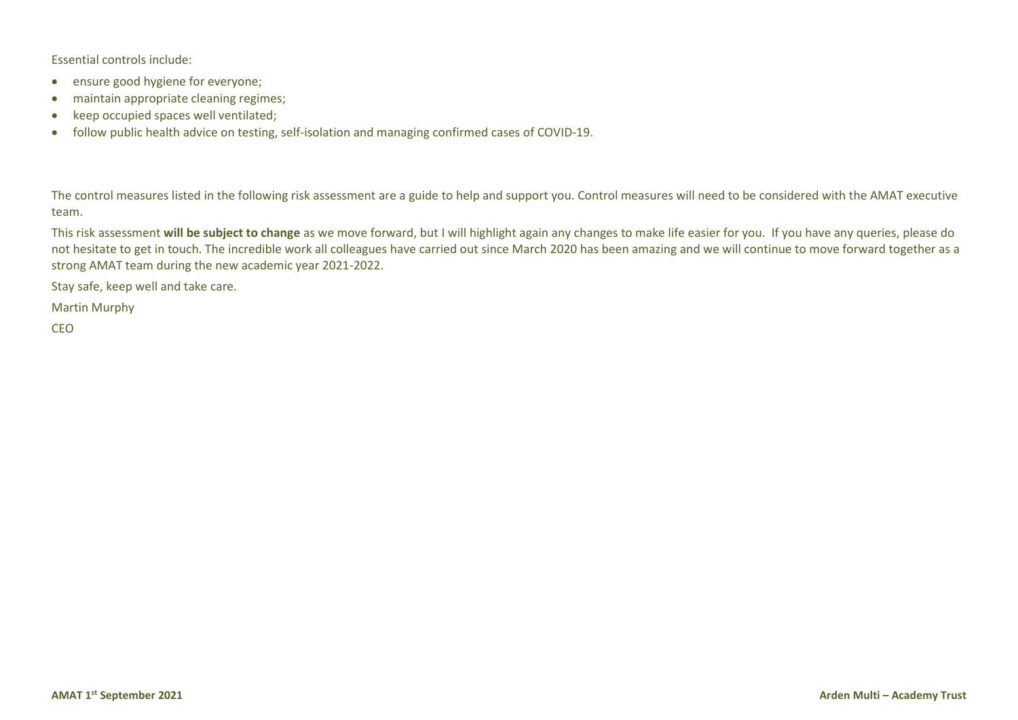Essential controls include:

- ensure good hygiene for everyone;
- maintain appropriate cleaning regimes;
- keep occupied spaces well ventilated;
- follow public health advice on testing, self-isolation and managing confirmed cases of COVID-19.

The control measures listed in the following risk assessment are a guide to help and support you. Control measures will need to be considered with the AMAT executive team.

This risk assessment **will be subject to change** as we move forward, but I will highlight again any changes to make life easier for you. If you have any queries, please do not hesitate to get in touch. The incredible work all colleagues have carried out since March 2020 has been amazing and we will continue to move forward together as a strong AMAT team during the new academic year 2021-2022.

Stay safe, keep well and take care.

Martin Murphy

CEO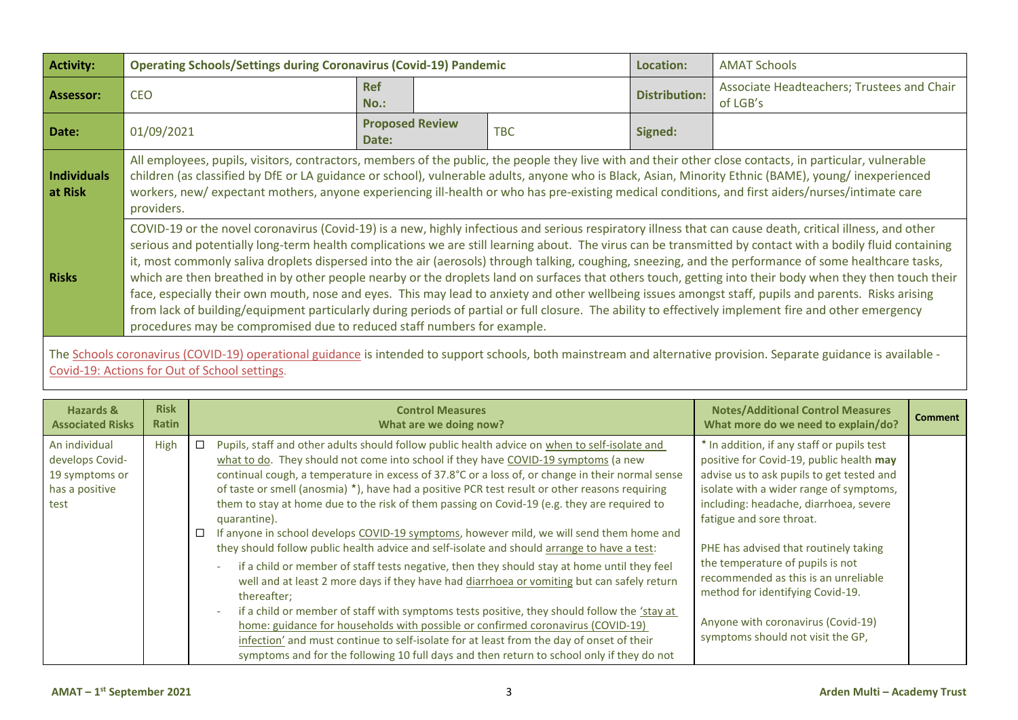| <b>Activity:</b>              | <b>Operating Schools/Settings during Coronavirus (Covid-19) Pandemic</b><br>Location:                                                                                                                                                                                                                                                                                                                                                                                                                                                                                                                                                                                                                                                                                                                                                                                                                                                                                                                                                       |                                 |  |            |                      | <b>AMAT Schools</b>                                    |
|-------------------------------|---------------------------------------------------------------------------------------------------------------------------------------------------------------------------------------------------------------------------------------------------------------------------------------------------------------------------------------------------------------------------------------------------------------------------------------------------------------------------------------------------------------------------------------------------------------------------------------------------------------------------------------------------------------------------------------------------------------------------------------------------------------------------------------------------------------------------------------------------------------------------------------------------------------------------------------------------------------------------------------------------------------------------------------------|---------------------------------|--|------------|----------------------|--------------------------------------------------------|
| <b>Assessor:</b>              | <b>CEO</b>                                                                                                                                                                                                                                                                                                                                                                                                                                                                                                                                                                                                                                                                                                                                                                                                                                                                                                                                                                                                                                  | <b>Ref</b><br>$No.$ :           |  |            | <b>Distribution:</b> | Associate Headteachers; Trustees and Chair<br>of LGB's |
| Date:                         | 01/09/2021                                                                                                                                                                                                                                                                                                                                                                                                                                                                                                                                                                                                                                                                                                                                                                                                                                                                                                                                                                                                                                  | <b>Proposed Review</b><br>Date: |  | <b>TBC</b> | Signed:              |                                                        |
| <b>Individuals</b><br>at Risk | All employees, pupils, visitors, contractors, members of the public, the people they live with and their other close contacts, in particular, vulnerable<br>children (as classified by DfE or LA guidance or school), vulnerable adults, anyone who is Black, Asian, Minority Ethnic (BAME), young/inexperienced<br>workers, new/expectant mothers, anyone experiencing ill-health or who has pre-existing medical conditions, and first aiders/nurses/intimate care<br>providers.                                                                                                                                                                                                                                                                                                                                                                                                                                                                                                                                                          |                                 |  |            |                      |                                                        |
| <b>Risks</b>                  | COVID-19 or the novel coronavirus (Covid-19) is a new, highly infectious and serious respiratory illness that can cause death, critical illness, and other<br>serious and potentially long-term health complications we are still learning about. The virus can be transmitted by contact with a bodily fluid containing<br>it, most commonly saliva droplets dispersed into the air (aerosols) through talking, coughing, sneezing, and the performance of some healthcare tasks,<br>which are then breathed in by other people nearby or the droplets land on surfaces that others touch, getting into their body when they then touch their<br>face, especially their own mouth, nose and eyes. This may lead to anxiety and other wellbeing issues amongst staff, pupils and parents. Risks arising<br>from lack of building/equipment particularly during periods of partial or full closure. The ability to effectively implement fire and other emergency<br>procedures may be compromised due to reduced staff numbers for example. |                                 |  |            |                      |                                                        |

The <u>Schools coronavirus (COVID-19) operational guidance</u> is intended to support schools, both mainstream and alternative provision. Separate guidance is available -[Covid-19: Actions for Out of School settings](https://www.gov.uk/government/publications/protective-measures-for-holiday-or-after-school-clubs-and-other-out-of-school-settings-for-children-during-the-coronavirus-covid-19-outbreak/covid-19-actions-for-out-of-school-settings).

| Hazards &                                                                    | <b>Risk</b>  | <b>Control Measures</b>                                                                                                                                                                                                                                                                                                                                                                                                                                                                                                                                                                                                                                                                                                                                                                                                                                                                                                                                                                                                                                                                                                                                                                                                                                                                              | <b>Notes/Additional Control Measures</b>                                                                                                                                                                                                                                                                                                                                                                                                                                                 | <b>Comment</b> |
|------------------------------------------------------------------------------|--------------|------------------------------------------------------------------------------------------------------------------------------------------------------------------------------------------------------------------------------------------------------------------------------------------------------------------------------------------------------------------------------------------------------------------------------------------------------------------------------------------------------------------------------------------------------------------------------------------------------------------------------------------------------------------------------------------------------------------------------------------------------------------------------------------------------------------------------------------------------------------------------------------------------------------------------------------------------------------------------------------------------------------------------------------------------------------------------------------------------------------------------------------------------------------------------------------------------------------------------------------------------------------------------------------------------|------------------------------------------------------------------------------------------------------------------------------------------------------------------------------------------------------------------------------------------------------------------------------------------------------------------------------------------------------------------------------------------------------------------------------------------------------------------------------------------|----------------|
| <b>Associated Risks</b>                                                      | <b>Ratin</b> | What are we doing now?                                                                                                                                                                                                                                                                                                                                                                                                                                                                                                                                                                                                                                                                                                                                                                                                                                                                                                                                                                                                                                                                                                                                                                                                                                                                               | What more do we need to explain/do?                                                                                                                                                                                                                                                                                                                                                                                                                                                      |                |
| An individual<br>develops Covid-<br>19 symptoms or<br>has a positive<br>test | High         | Pupils, staff and other adults should follow public health advice on when to self-isolate and<br>□<br>what to do. They should not come into school if they have COVID-19 symptoms (a new<br>continual cough, a temperature in excess of 37.8°C or a loss of, or change in their normal sense<br>of taste or smell (anosmia) *), have had a positive PCR test result or other reasons requiring<br>them to stay at home due to the risk of them passing on Covid-19 (e.g. they are required to<br>quarantine).<br>If anyone in school develops COVID-19 symptoms, however mild, we will send them home and<br>□<br>they should follow public health advice and self-isolate and should arrange to have a test:<br>if a child or member of staff tests negative, then they should stay at home until they feel<br>well and at least 2 more days if they have had diarrhoea or vomiting but can safely return<br>thereafter:<br>if a child or member of staff with symptoms tests positive, they should follow the 'stay at<br>home: guidance for households with possible or confirmed coronavirus (COVID-19)<br>infection' and must continue to self-isolate for at least from the day of onset of their<br>symptoms and for the following 10 full days and then return to school only if they do not | * In addition, if any staff or pupils test<br>positive for Covid-19, public health may<br>advise us to ask pupils to get tested and<br>isolate with a wider range of symptoms,<br>including: headache, diarrhoea, severe<br>fatigue and sore throat.<br>PHE has advised that routinely taking<br>the temperature of pupils is not<br>recommended as this is an unreliable<br>method for identifying Covid-19.<br>Anyone with coronavirus (Covid-19)<br>symptoms should not visit the GP, |                |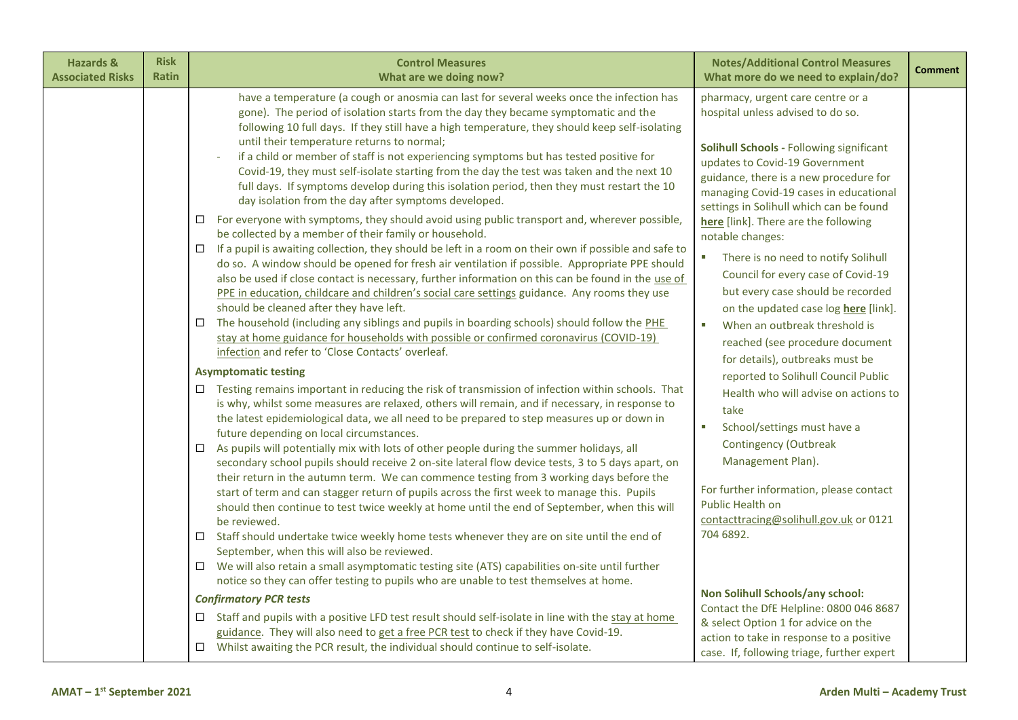| <b>Hazards &amp;</b><br><b>Associated Risks</b> | <b>Risk</b><br><b>Ratin</b> | <b>Control Measures</b><br>What are we doing now?                                                                                                                                                                                                                                                                                                                                                                                                                                                                                                                                                                                                                                                                                                                                                                                                                                                                                                                                                                                                                                                                                                                                                                                                                                                                                                                                                                                                                                                                                                                                                                                                                                                                                                                                                                                                                                                                                                                                                                                                                                                                                                                                                                                                                                                                                                                                                                                                                                                                                                                                                                                                                                                                                                                                                                                                                                                                                                                                                 | <b>Notes/Additional Control Measures</b><br>What more do we need to explain/do?                                                                                                                                                                                                                                                                                                                                                                                                                                                                                                                                                                                                                                                                                                                                                                                                                                                                                                                                                                                                                                                             | <b>Comment</b> |
|-------------------------------------------------|-----------------------------|---------------------------------------------------------------------------------------------------------------------------------------------------------------------------------------------------------------------------------------------------------------------------------------------------------------------------------------------------------------------------------------------------------------------------------------------------------------------------------------------------------------------------------------------------------------------------------------------------------------------------------------------------------------------------------------------------------------------------------------------------------------------------------------------------------------------------------------------------------------------------------------------------------------------------------------------------------------------------------------------------------------------------------------------------------------------------------------------------------------------------------------------------------------------------------------------------------------------------------------------------------------------------------------------------------------------------------------------------------------------------------------------------------------------------------------------------------------------------------------------------------------------------------------------------------------------------------------------------------------------------------------------------------------------------------------------------------------------------------------------------------------------------------------------------------------------------------------------------------------------------------------------------------------------------------------------------------------------------------------------------------------------------------------------------------------------------------------------------------------------------------------------------------------------------------------------------------------------------------------------------------------------------------------------------------------------------------------------------------------------------------------------------------------------------------------------------------------------------------------------------------------------------------------------------------------------------------------------------------------------------------------------------------------------------------------------------------------------------------------------------------------------------------------------------------------------------------------------------------------------------------------------------------------------------------------------------------------------------------------------------|---------------------------------------------------------------------------------------------------------------------------------------------------------------------------------------------------------------------------------------------------------------------------------------------------------------------------------------------------------------------------------------------------------------------------------------------------------------------------------------------------------------------------------------------------------------------------------------------------------------------------------------------------------------------------------------------------------------------------------------------------------------------------------------------------------------------------------------------------------------------------------------------------------------------------------------------------------------------------------------------------------------------------------------------------------------------------------------------------------------------------------------------|----------------|
|                                                 |                             | have a temperature (a cough or anosmia can last for several weeks once the infection has<br>gone). The period of isolation starts from the day they became symptomatic and the<br>following 10 full days. If they still have a high temperature, they should keep self-isolating<br>until their temperature returns to normal;<br>if a child or member of staff is not experiencing symptoms but has tested positive for<br>Covid-19, they must self-isolate starting from the day the test was taken and the next 10<br>full days. If symptoms develop during this isolation period, then they must restart the 10<br>day isolation from the day after symptoms developed.<br>For everyone with symptoms, they should avoid using public transport and, wherever possible,<br>$\Box$<br>be collected by a member of their family or household.<br>If a pupil is awaiting collection, they should be left in a room on their own if possible and safe to<br>$\Box$<br>do so. A window should be opened for fresh air ventilation if possible. Appropriate PPE should<br>also be used if close contact is necessary, further information on this can be found in the use of<br>PPE in education, childcare and children's social care settings guidance. Any rooms they use<br>should be cleaned after they have left.<br>The household (including any siblings and pupils in boarding schools) should follow the PHE<br>$\Box$<br>stay at home guidance for households with possible or confirmed coronavirus (COVID-19)<br>infection and refer to 'Close Contacts' overleaf.<br><b>Asymptomatic testing</b><br>Testing remains important in reducing the risk of transmission of infection within schools. That<br>$\Box$<br>is why, whilst some measures are relaxed, others will remain, and if necessary, in response to<br>the latest epidemiological data, we all need to be prepared to step measures up or down in<br>future depending on local circumstances.<br>$\Box$<br>As pupils will potentially mix with lots of other people during the summer holidays, all<br>secondary school pupils should receive 2 on-site lateral flow device tests, 3 to 5 days apart, on<br>their return in the autumn term. We can commence testing from 3 working days before the<br>start of term and can stagger return of pupils across the first week to manage this. Pupils<br>should then continue to test twice weekly at home until the end of September, when this will<br>be reviewed.<br>Staff should undertake twice weekly home tests whenever they are on site until the end of<br>$\Box$<br>September, when this will also be reviewed.<br>$\Box$ We will also retain a small asymptomatic testing site (ATS) capabilities on-site until further<br>notice so they can offer testing to pupils who are unable to test themselves at home.<br><b>Confirmatory PCR tests</b><br>$\Box$ Staff and pupils with a positive LFD test result should self-isolate in line with the stay at home | pharmacy, urgent care centre or a<br>hospital unless advised to do so.<br>Solihull Schools - Following significant<br>updates to Covid-19 Government<br>guidance, there is a new procedure for<br>managing Covid-19 cases in educational<br>settings in Solihull which can be found<br>here [link]. There are the following<br>notable changes:<br>There is no need to notify Solihull<br>$\mathcal{L}_{\mathcal{A}}$<br>Council for every case of Covid-19<br>but every case should be recorded<br>on the updated case log here [link].<br>When an outbreak threshold is<br>$\mathcal{L}_{\mathcal{A}}$<br>reached (see procedure document<br>for details), outbreaks must be<br>reported to Solihull Council Public<br>Health who will advise on actions to<br>take<br>School/settings must have a<br>$\mathcal{L}_{\mathcal{A}}$<br><b>Contingency (Outbreak</b><br>Management Plan).<br>For further information, please contact<br><b>Public Health on</b><br>contacttracing@solihull.gov.uk or 0121<br>704 6892.<br>Non Solihull Schools/any school:<br>Contact the DfE Helpline: 0800 046 8687<br>& select Option 1 for advice on the |                |
|                                                 |                             | guidance. They will also need to get a free PCR test to check if they have Covid-19.<br>$\Box$ Whilst awaiting the PCR result, the individual should continue to self-isolate.                                                                                                                                                                                                                                                                                                                                                                                                                                                                                                                                                                                                                                                                                                                                                                                                                                                                                                                                                                                                                                                                                                                                                                                                                                                                                                                                                                                                                                                                                                                                                                                                                                                                                                                                                                                                                                                                                                                                                                                                                                                                                                                                                                                                                                                                                                                                                                                                                                                                                                                                                                                                                                                                                                                                                                                                                    | action to take in response to a positive<br>case. If, following triage, further expert                                                                                                                                                                                                                                                                                                                                                                                                                                                                                                                                                                                                                                                                                                                                                                                                                                                                                                                                                                                                                                                      |                |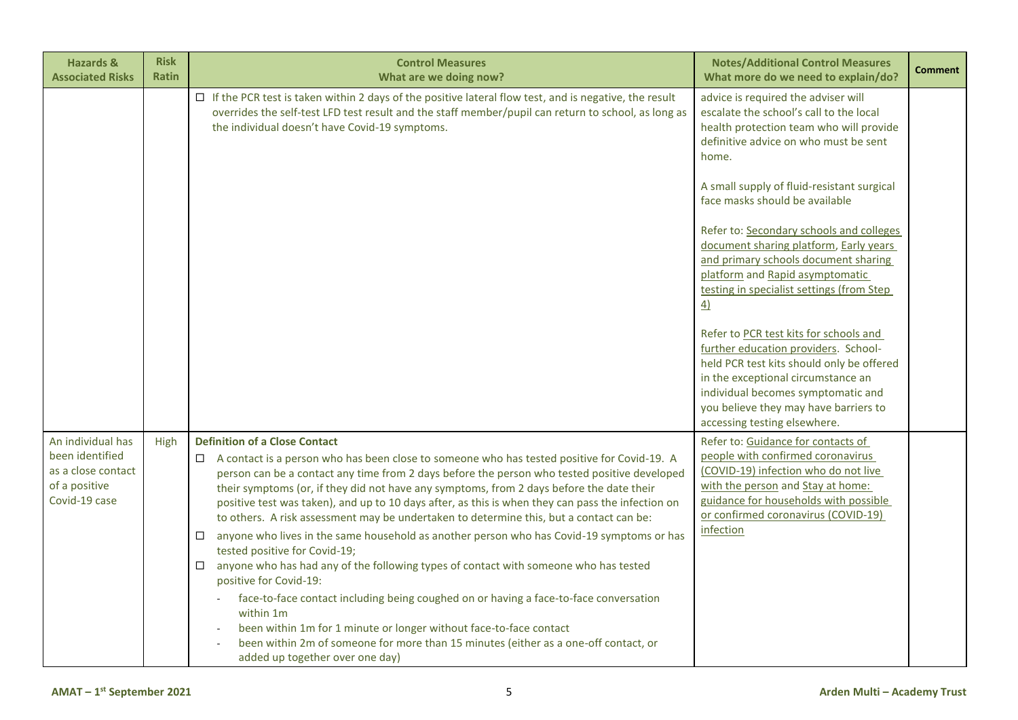| <b>Hazards &amp;</b><br><b>Associated Risks</b>                                              | <b>Risk</b><br>Ratin | <b>Control Measures</b><br>What are we doing now?                                                                                                                                                                                                                                                                                                                                                                                                                                                                                                                                                                                                                                                                                                                                                                                                                                                                                                                                                                                                                                                             | <b>Notes/Additional Control Measures</b><br>What more do we need to explain/do?                                                                                                                                                                                                  | <b>Comment</b> |
|----------------------------------------------------------------------------------------------|----------------------|---------------------------------------------------------------------------------------------------------------------------------------------------------------------------------------------------------------------------------------------------------------------------------------------------------------------------------------------------------------------------------------------------------------------------------------------------------------------------------------------------------------------------------------------------------------------------------------------------------------------------------------------------------------------------------------------------------------------------------------------------------------------------------------------------------------------------------------------------------------------------------------------------------------------------------------------------------------------------------------------------------------------------------------------------------------------------------------------------------------|----------------------------------------------------------------------------------------------------------------------------------------------------------------------------------------------------------------------------------------------------------------------------------|----------------|
|                                                                                              |                      | $\Box$ If the PCR test is taken within 2 days of the positive lateral flow test, and is negative, the result<br>overrides the self-test LFD test result and the staff member/pupil can return to school, as long as<br>the individual doesn't have Covid-19 symptoms.                                                                                                                                                                                                                                                                                                                                                                                                                                                                                                                                                                                                                                                                                                                                                                                                                                         | advice is required the adviser will<br>escalate the school's call to the local<br>health protection team who will provide<br>definitive advice on who must be sent<br>home.                                                                                                      |                |
|                                                                                              |                      |                                                                                                                                                                                                                                                                                                                                                                                                                                                                                                                                                                                                                                                                                                                                                                                                                                                                                                                                                                                                                                                                                                               | A small supply of fluid-resistant surgical<br>face masks should be available                                                                                                                                                                                                     |                |
|                                                                                              |                      |                                                                                                                                                                                                                                                                                                                                                                                                                                                                                                                                                                                                                                                                                                                                                                                                                                                                                                                                                                                                                                                                                                               | Refer to: Secondary schools and colleges<br>document sharing platform, Early years<br>and primary schools document sharing<br>platform and Rapid asymptomatic<br>testing in specialist settings (from Step<br>$\overline{4}$                                                     |                |
|                                                                                              |                      |                                                                                                                                                                                                                                                                                                                                                                                                                                                                                                                                                                                                                                                                                                                                                                                                                                                                                                                                                                                                                                                                                                               | Refer to PCR test kits for schools and<br>further education providers. School-<br>held PCR test kits should only be offered<br>in the exceptional circumstance an<br>individual becomes symptomatic and<br>you believe they may have barriers to<br>accessing testing elsewhere. |                |
| An individual has<br>been identified<br>as a close contact<br>of a positive<br>Covid-19 case | High                 | <b>Definition of a Close Contact</b><br>$\Box$ A contact is a person who has been close to someone who has tested positive for Covid-19. A<br>person can be a contact any time from 2 days before the person who tested positive developed<br>their symptoms (or, if they did not have any symptoms, from 2 days before the date their<br>positive test was taken), and up to 10 days after, as this is when they can pass the infection on<br>to others. A risk assessment may be undertaken to determine this, but a contact can be:<br>anyone who lives in the same household as another person who has Covid-19 symptoms or has<br>$\Box$<br>tested positive for Covid-19;<br>$\Box$ anyone who has had any of the following types of contact with someone who has tested<br>positive for Covid-19:<br>face-to-face contact including being coughed on or having a face-to-face conversation<br>within 1m<br>been within 1m for 1 minute or longer without face-to-face contact<br>been within 2m of someone for more than 15 minutes (either as a one-off contact, or<br>added up together over one day) | Refer to: Guidance for contacts of<br>people with confirmed coronavirus<br>(COVID-19) infection who do not live<br>with the person and Stay at home:<br>guidance for households with possible<br>or confirmed coronavirus (COVID-19)<br>infection                                |                |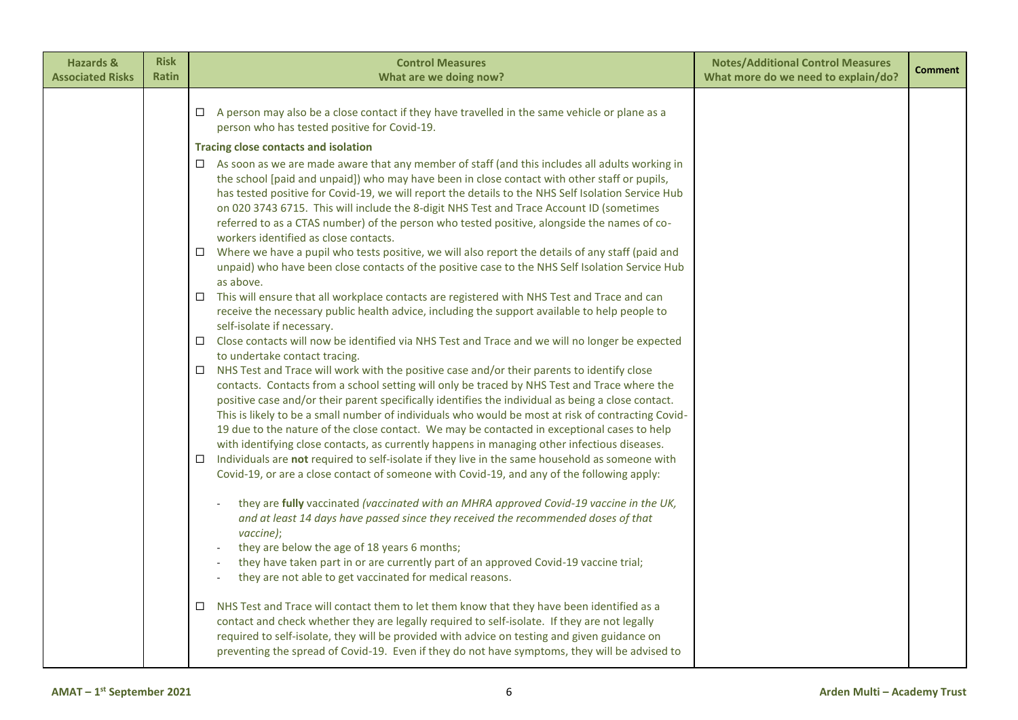| <b>Hazards &amp;</b><br><b>Associated Risks</b> | <b>Risk</b><br><b>Ratin</b> | <b>Control Measures</b><br>What are we doing now?                                                                                                                                                    | <b>Notes/Additional Control Measures</b><br>What more do we need to explain/do? | <b>Comment</b> |
|-------------------------------------------------|-----------------------------|------------------------------------------------------------------------------------------------------------------------------------------------------------------------------------------------------|---------------------------------------------------------------------------------|----------------|
|                                                 |                             |                                                                                                                                                                                                      |                                                                                 |                |
|                                                 |                             | $\Box$ A person may also be a close contact if they have travelled in the same vehicle or plane as a                                                                                                 |                                                                                 |                |
|                                                 |                             | person who has tested positive for Covid-19.                                                                                                                                                         |                                                                                 |                |
|                                                 |                             | <b>Tracing close contacts and isolation</b>                                                                                                                                                          |                                                                                 |                |
|                                                 |                             | $\Box$ As soon as we are made aware that any member of staff (and this includes all adults working in                                                                                                |                                                                                 |                |
|                                                 |                             | the school [paid and unpaid]) who may have been in close contact with other staff or pupils,<br>has tested positive for Covid-19, we will report the details to the NHS Self Isolation Service Hub   |                                                                                 |                |
|                                                 |                             | on 020 3743 6715. This will include the 8-digit NHS Test and Trace Account ID (sometimes                                                                                                             |                                                                                 |                |
|                                                 |                             | referred to as a CTAS number) of the person who tested positive, alongside the names of co-                                                                                                          |                                                                                 |                |
|                                                 |                             | workers identified as close contacts.                                                                                                                                                                |                                                                                 |                |
|                                                 |                             | $\Box$ Where we have a pupil who tests positive, we will also report the details of any staff (paid and                                                                                              |                                                                                 |                |
|                                                 |                             | unpaid) who have been close contacts of the positive case to the NHS Self Isolation Service Hub<br>as above.                                                                                         |                                                                                 |                |
|                                                 |                             | This will ensure that all workplace contacts are registered with NHS Test and Trace and can<br>□                                                                                                     |                                                                                 |                |
|                                                 |                             | receive the necessary public health advice, including the support available to help people to                                                                                                        |                                                                                 |                |
|                                                 |                             | self-isolate if necessary.                                                                                                                                                                           |                                                                                 |                |
|                                                 |                             | $\Box$ Close contacts will now be identified via NHS Test and Trace and we will no longer be expected                                                                                                |                                                                                 |                |
|                                                 |                             | to undertake contact tracing.<br>NHS Test and Trace will work with the positive case and/or their parents to identify close<br>$\Box$                                                                |                                                                                 |                |
|                                                 |                             | contacts. Contacts from a school setting will only be traced by NHS Test and Trace where the                                                                                                         |                                                                                 |                |
|                                                 |                             | positive case and/or their parent specifically identifies the individual as being a close contact.                                                                                                   |                                                                                 |                |
|                                                 |                             | This is likely to be a small number of individuals who would be most at risk of contracting Covid-                                                                                                   |                                                                                 |                |
|                                                 |                             | 19 due to the nature of the close contact. We may be contacted in exceptional cases to help                                                                                                          |                                                                                 |                |
|                                                 |                             | with identifying close contacts, as currently happens in managing other infectious diseases.<br>Individuals are not required to self-isolate if they live in the same household as someone with<br>□ |                                                                                 |                |
|                                                 |                             | Covid-19, or are a close contact of someone with Covid-19, and any of the following apply:                                                                                                           |                                                                                 |                |
|                                                 |                             |                                                                                                                                                                                                      |                                                                                 |                |
|                                                 |                             | they are fully vaccinated (vaccinated with an MHRA approved Covid-19 vaccine in the UK,                                                                                                              |                                                                                 |                |
|                                                 |                             | and at least 14 days have passed since they received the recommended doses of that<br>vaccine);                                                                                                      |                                                                                 |                |
|                                                 |                             | they are below the age of 18 years 6 months;                                                                                                                                                         |                                                                                 |                |
|                                                 |                             | they have taken part in or are currently part of an approved Covid-19 vaccine trial;                                                                                                                 |                                                                                 |                |
|                                                 |                             | they are not able to get vaccinated for medical reasons.                                                                                                                                             |                                                                                 |                |
|                                                 |                             | NHS Test and Trace will contact them to let them know that they have been identified as a<br>$\Box$                                                                                                  |                                                                                 |                |
|                                                 |                             | contact and check whether they are legally required to self-isolate. If they are not legally                                                                                                         |                                                                                 |                |
|                                                 |                             | required to self-isolate, they will be provided with advice on testing and given guidance on                                                                                                         |                                                                                 |                |
|                                                 |                             | preventing the spread of Covid-19. Even if they do not have symptoms, they will be advised to                                                                                                        |                                                                                 |                |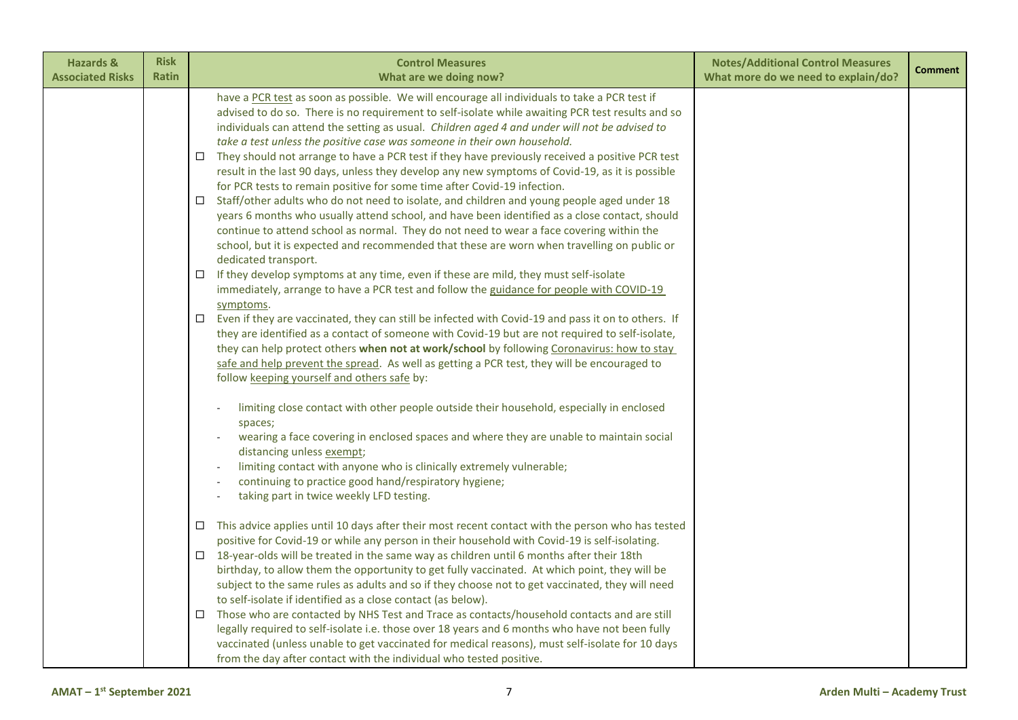| <b>Hazards &amp;</b><br><b>Associated Risks</b> | <b>Risk</b><br><b>Ratin</b> | <b>Control Measures</b><br>What are we doing now?                                                                                                                                                                                                                                                                                                                                                                                                                                                                                                                                                                                                                                                                                                                                                                                                                                                                                                                                                                                                                                                                                                                                                                                                                                                                                                                                                                                                                                                                                                                                                                                                                                                                                       | <b>Notes/Additional Control Measures</b><br>What more do we need to explain/do? | <b>Comment</b> |
|-------------------------------------------------|-----------------------------|-----------------------------------------------------------------------------------------------------------------------------------------------------------------------------------------------------------------------------------------------------------------------------------------------------------------------------------------------------------------------------------------------------------------------------------------------------------------------------------------------------------------------------------------------------------------------------------------------------------------------------------------------------------------------------------------------------------------------------------------------------------------------------------------------------------------------------------------------------------------------------------------------------------------------------------------------------------------------------------------------------------------------------------------------------------------------------------------------------------------------------------------------------------------------------------------------------------------------------------------------------------------------------------------------------------------------------------------------------------------------------------------------------------------------------------------------------------------------------------------------------------------------------------------------------------------------------------------------------------------------------------------------------------------------------------------------------------------------------------------|---------------------------------------------------------------------------------|----------------|
|                                                 | □<br>□<br>□<br>$\Box$       | have a PCR test as soon as possible. We will encourage all individuals to take a PCR test if<br>advised to do so. There is no requirement to self-isolate while awaiting PCR test results and so<br>individuals can attend the setting as usual. Children aged 4 and under will not be advised to<br>take a test unless the positive case was someone in their own household.<br>They should not arrange to have a PCR test if they have previously received a positive PCR test<br>result in the last 90 days, unless they develop any new symptoms of Covid-19, as it is possible<br>for PCR tests to remain positive for some time after Covid-19 infection.<br>Staff/other adults who do not need to isolate, and children and young people aged under 18<br>years 6 months who usually attend school, and have been identified as a close contact, should<br>continue to attend school as normal. They do not need to wear a face covering within the<br>school, but it is expected and recommended that these are worn when travelling on public or<br>dedicated transport.<br>If they develop symptoms at any time, even if these are mild, they must self-isolate<br>immediately, arrange to have a PCR test and follow the guidance for people with COVID-19<br>symptoms.<br>Even if they are vaccinated, they can still be infected with Covid-19 and pass it on to others. If<br>they are identified as a contact of someone with Covid-19 but are not required to self-isolate,<br>they can help protect others when not at work/school by following Coronavirus: how to stay<br>safe and help prevent the spread. As well as getting a PCR test, they will be encouraged to<br>follow keeping yourself and others safe by: |                                                                                 |                |
|                                                 | $\Box$<br>□<br>$\Box$       | limiting close contact with other people outside their household, especially in enclosed<br>spaces;<br>wearing a face covering in enclosed spaces and where they are unable to maintain social<br>distancing unless exempt;<br>limiting contact with anyone who is clinically extremely vulnerable;<br>continuing to practice good hand/respiratory hygiene;<br>taking part in twice weekly LFD testing.<br>This advice applies until 10 days after their most recent contact with the person who has tested<br>positive for Covid-19 or while any person in their household with Covid-19 is self-isolating.<br>18-year-olds will be treated in the same way as children until 6 months after their 18th<br>birthday, to allow them the opportunity to get fully vaccinated. At which point, they will be<br>subject to the same rules as adults and so if they choose not to get vaccinated, they will need<br>to self-isolate if identified as a close contact (as below).<br>Those who are contacted by NHS Test and Trace as contacts/household contacts and are still<br>legally required to self-isolate i.e. those over 18 years and 6 months who have not been fully<br>vaccinated (unless unable to get vaccinated for medical reasons), must self-isolate for 10 days                                                                                                                                                                                                                                                                                                                                                                                                                                                        |                                                                                 |                |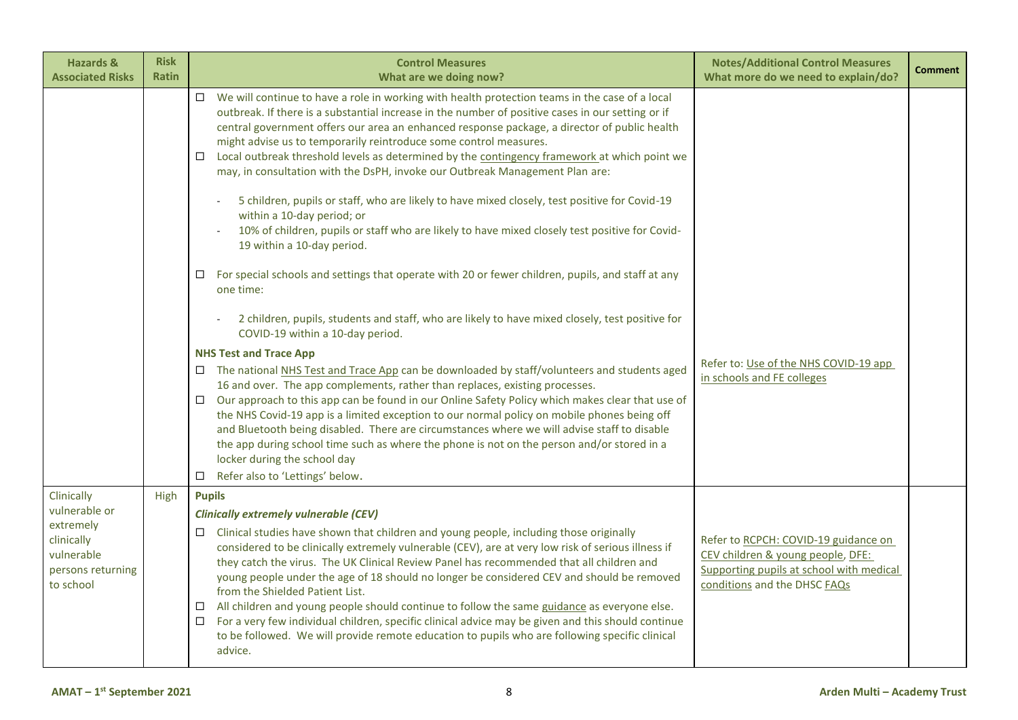| <b>Hazards &amp;</b><br><b>Associated Risks</b>                                                        | <b>Risk</b><br><b>Ratin</b> | <b>Control Measures</b><br>What are we doing now?                                                                                                                                                                                                                                                                                                                                                                                                                                                                                                                                                                                                                                                                                                                                                                                                                                                                                                                                                                                                                                                                                                                                                                                                                                                                                                                                                                                                                                                                                                                                                                                                                                                                                                                                                             | <b>Notes/Additional Control Measures</b><br>What more do we need to explain/do?                                                                       | <b>Comment</b> |
|--------------------------------------------------------------------------------------------------------|-----------------------------|---------------------------------------------------------------------------------------------------------------------------------------------------------------------------------------------------------------------------------------------------------------------------------------------------------------------------------------------------------------------------------------------------------------------------------------------------------------------------------------------------------------------------------------------------------------------------------------------------------------------------------------------------------------------------------------------------------------------------------------------------------------------------------------------------------------------------------------------------------------------------------------------------------------------------------------------------------------------------------------------------------------------------------------------------------------------------------------------------------------------------------------------------------------------------------------------------------------------------------------------------------------------------------------------------------------------------------------------------------------------------------------------------------------------------------------------------------------------------------------------------------------------------------------------------------------------------------------------------------------------------------------------------------------------------------------------------------------------------------------------------------------------------------------------------------------|-------------------------------------------------------------------------------------------------------------------------------------------------------|----------------|
|                                                                                                        |                             | We will continue to have a role in working with health protection teams in the case of a local<br>$\Box$<br>outbreak. If there is a substantial increase in the number of positive cases in our setting or if<br>central government offers our area an enhanced response package, a director of public health<br>might advise us to temporarily reintroduce some control measures.<br>Local outbreak threshold levels as determined by the contingency framework at which point we<br>$\Box$<br>may, in consultation with the DsPH, invoke our Outbreak Management Plan are:<br>5 children, pupils or staff, who are likely to have mixed closely, test positive for Covid-19<br>within a 10-day period; or<br>10% of children, pupils or staff who are likely to have mixed closely test positive for Covid-<br>19 within a 10-day period.<br>For special schools and settings that operate with 20 or fewer children, pupils, and staff at any<br>$\Box$<br>one time:<br>2 children, pupils, students and staff, who are likely to have mixed closely, test positive for<br>COVID-19 within a 10-day period.<br><b>NHS Test and Trace App</b><br>$\Box$ The national NHS Test and Trace App can be downloaded by staff/volunteers and students aged<br>16 and over. The app complements, rather than replaces, existing processes.<br>□ Our approach to this app can be found in our Online Safety Policy which makes clear that use of<br>the NHS Covid-19 app is a limited exception to our normal policy on mobile phones being off<br>and Bluetooth being disabled. There are circumstances where we will advise staff to disable<br>the app during school time such as where the phone is not on the person and/or stored in a<br>locker during the school day<br>Refer also to 'Lettings' below.<br>□ | Refer to: Use of the NHS COVID-19 app<br>in schools and FE colleges                                                                                   |                |
| Clinically<br>vulnerable or<br>extremely<br>clinically<br>vulnerable<br>persons returning<br>to school | High                        | <b>Pupils</b><br><b>Clinically extremely vulnerable (CEV)</b><br>Clinical studies have shown that children and young people, including those originally<br>$\Box$<br>considered to be clinically extremely vulnerable (CEV), are at very low risk of serious illness if<br>they catch the virus. The UK Clinical Review Panel has recommended that all children and<br>young people under the age of 18 should no longer be considered CEV and should be removed<br>from the Shielded Patient List.<br>All children and young people should continue to follow the same guidance as everyone else.<br>□<br>For a very few individual children, specific clinical advice may be given and this should continue<br>$\Box$<br>to be followed. We will provide remote education to pupils who are following specific clinical<br>advice.                                                                                                                                                                                                                                                                                                                                                                                                                                                                                                                                                                                                                                                                                                                                                                                                                                                                                                                                                                          | Refer to RCPCH: COVID-19 guidance on<br>CEV children & young people, DFE:<br>Supporting pupils at school with medical<br>conditions and the DHSC FAQs |                |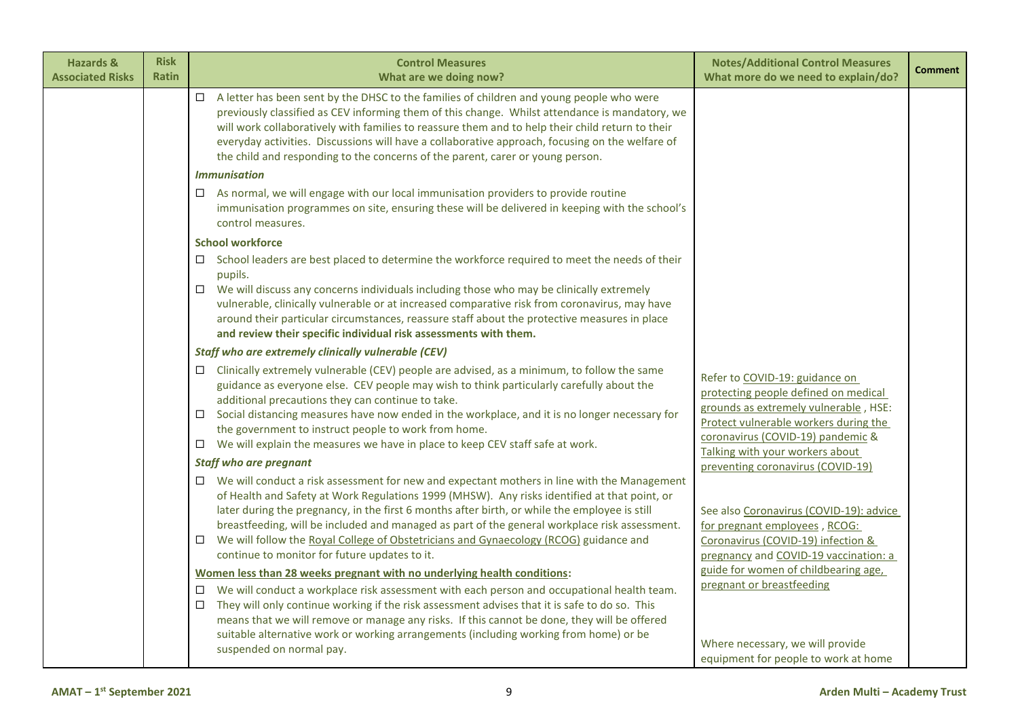| <b>Hazards &amp;</b><br><b>Associated Risks</b> | <b>Risk</b><br><b>Ratin</b> | <b>Control Measures</b><br>What are we doing now?                                                                                                                                                                                                                                                                                                                                                                                                                                                                                                        | <b>Notes/Additional Control Measures</b><br>What more do we need to explain/do?                                                                                                                                                  | <b>Comment</b> |
|-------------------------------------------------|-----------------------------|----------------------------------------------------------------------------------------------------------------------------------------------------------------------------------------------------------------------------------------------------------------------------------------------------------------------------------------------------------------------------------------------------------------------------------------------------------------------------------------------------------------------------------------------------------|----------------------------------------------------------------------------------------------------------------------------------------------------------------------------------------------------------------------------------|----------------|
|                                                 |                             | A letter has been sent by the DHSC to the families of children and young people who were<br>$\Box$<br>previously classified as CEV informing them of this change. Whilst attendance is mandatory, we<br>will work collaboratively with families to reassure them and to help their child return to their<br>everyday activities. Discussions will have a collaborative approach, focusing on the welfare of<br>the child and responding to the concerns of the parent, carer or young person.                                                            |                                                                                                                                                                                                                                  |                |
|                                                 |                             | <b>Immunisation</b>                                                                                                                                                                                                                                                                                                                                                                                                                                                                                                                                      |                                                                                                                                                                                                                                  |                |
|                                                 |                             | As normal, we will engage with our local immunisation providers to provide routine<br>□<br>immunisation programmes on site, ensuring these will be delivered in keeping with the school's<br>control measures.                                                                                                                                                                                                                                                                                                                                           |                                                                                                                                                                                                                                  |                |
|                                                 |                             | <b>School workforce</b>                                                                                                                                                                                                                                                                                                                                                                                                                                                                                                                                  |                                                                                                                                                                                                                                  |                |
|                                                 |                             | School leaders are best placed to determine the workforce required to meet the needs of their<br>□<br>pupils.<br>We will discuss any concerns individuals including those who may be clinically extremely<br>$\Box$<br>vulnerable, clinically vulnerable or at increased comparative risk from coronavirus, may have<br>around their particular circumstances, reassure staff about the protective measures in place<br>and review their specific individual risk assessments with them.                                                                 |                                                                                                                                                                                                                                  |                |
|                                                 |                             | Staff who are extremely clinically vulnerable (CEV)                                                                                                                                                                                                                                                                                                                                                                                                                                                                                                      |                                                                                                                                                                                                                                  |                |
|                                                 |                             | Clinically extremely vulnerable (CEV) people are advised, as a minimum, to follow the same<br>guidance as everyone else. CEV people may wish to think particularly carefully about the<br>additional precautions they can continue to take.<br>Social distancing measures have now ended in the workplace, and it is no longer necessary for<br>□<br>the government to instruct people to work from home.<br>We will explain the measures we have in place to keep CEV staff safe at work.<br>□                                                          | Refer to COVID-19: guidance on<br>protecting people defined on medical<br>grounds as extremely vulnerable, HSE:<br>Protect vulnerable workers during the<br>coronavirus (COVID-19) pandemic &<br>Talking with your workers about |                |
|                                                 |                             | <b>Staff who are pregnant</b>                                                                                                                                                                                                                                                                                                                                                                                                                                                                                                                            | preventing coronavirus (COVID-19)                                                                                                                                                                                                |                |
|                                                 |                             | $\Box$ We will conduct a risk assessment for new and expectant mothers in line with the Management<br>of Health and Safety at Work Regulations 1999 (MHSW). Any risks identified at that point, or<br>later during the pregnancy, in the first 6 months after birth, or while the employee is still<br>breastfeeding, will be included and managed as part of the general workplace risk assessment.<br>We will follow the Royal College of Obstetricians and Gynaecology (RCOG) guidance and<br>$\Box$<br>continue to monitor for future updates to it. | See also Coronavirus (COVID-19): advice<br>for pregnant employees, RCOG:<br>Coronavirus (COVID-19) infection &<br>pregnancy and COVID-19 vaccination: a                                                                          |                |
|                                                 |                             | Women less than 28 weeks pregnant with no underlying health conditions:                                                                                                                                                                                                                                                                                                                                                                                                                                                                                  | guide for women of childbearing age,<br>pregnant or breastfeeding                                                                                                                                                                |                |
|                                                 |                             | We will conduct a workplace risk assessment with each person and occupational health team.<br>□<br>They will only continue working if the risk assessment advises that it is safe to do so. This<br>□<br>means that we will remove or manage any risks. If this cannot be done, they will be offered<br>suitable alternative work or working arrangements (including working from home) or be<br>suspended on normal pay.                                                                                                                                | Where necessary, we will provide<br>equipment for people to work at home                                                                                                                                                         |                |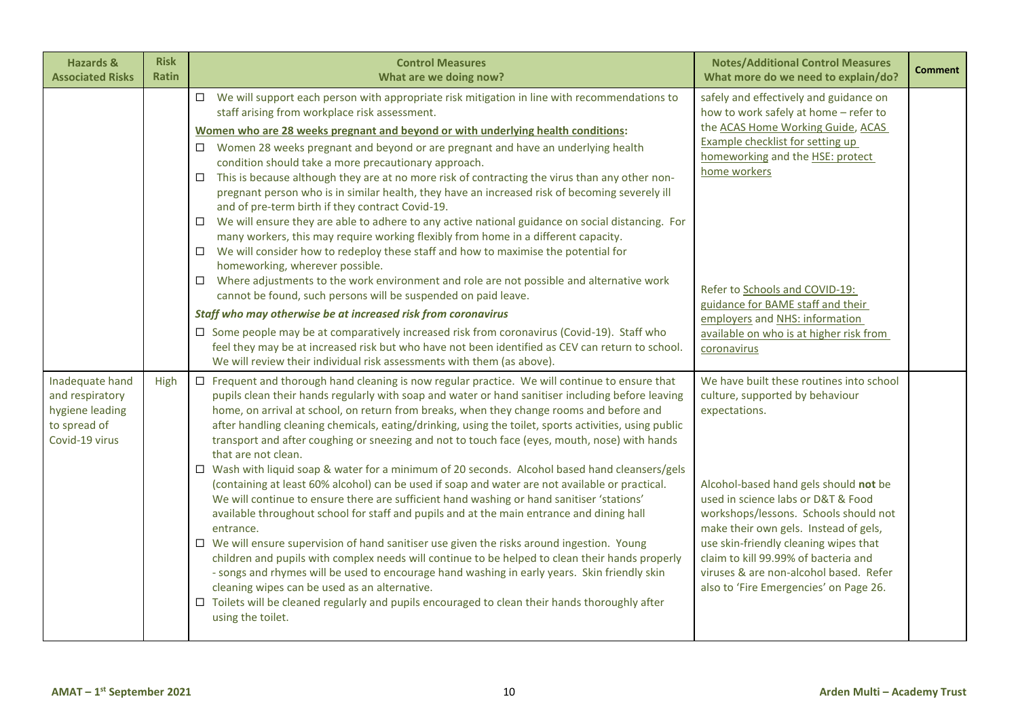| <b>Hazards &amp;</b><br><b>Associated Risks</b>                                         | <b>Risk</b><br><b>Ratin</b> | <b>Control Measures</b><br>What are we doing now?                                                                                                                                                                                                                                                                                                                                                                                                                                                                                                                                                                                                                                                                                                                                                                                                                                                                                                                                                                                                                                                                                                                                                                                                                                                                                                                                                                                                                                                                            | <b>Notes/Additional Control Measures</b><br>What more do we need to explain/do?                                                                                                                                                                                                                                                                                                                                                    | <b>Comment</b> |
|-----------------------------------------------------------------------------------------|-----------------------------|------------------------------------------------------------------------------------------------------------------------------------------------------------------------------------------------------------------------------------------------------------------------------------------------------------------------------------------------------------------------------------------------------------------------------------------------------------------------------------------------------------------------------------------------------------------------------------------------------------------------------------------------------------------------------------------------------------------------------------------------------------------------------------------------------------------------------------------------------------------------------------------------------------------------------------------------------------------------------------------------------------------------------------------------------------------------------------------------------------------------------------------------------------------------------------------------------------------------------------------------------------------------------------------------------------------------------------------------------------------------------------------------------------------------------------------------------------------------------------------------------------------------------|------------------------------------------------------------------------------------------------------------------------------------------------------------------------------------------------------------------------------------------------------------------------------------------------------------------------------------------------------------------------------------------------------------------------------------|----------------|
|                                                                                         |                             | $\Box$ We will support each person with appropriate risk mitigation in line with recommendations to<br>staff arising from workplace risk assessment.<br>Women who are 28 weeks pregnant and beyond or with underlying health conditions:<br>$\Box$ Women 28 weeks pregnant and beyond or are pregnant and have an underlying health<br>condition should take a more precautionary approach.<br>This is because although they are at no more risk of contracting the virus than any other non-<br>$\Box$<br>pregnant person who is in similar health, they have an increased risk of becoming severely ill<br>and of pre-term birth if they contract Covid-19.<br>$\Box$ We will ensure they are able to adhere to any active national guidance on social distancing. For<br>many workers, this may require working flexibly from home in a different capacity.<br>$\Box$ We will consider how to redeploy these staff and how to maximise the potential for<br>homeworking, wherever possible.<br>$\Box$<br>Where adjustments to the work environment and role are not possible and alternative work<br>cannot be found, such persons will be suspended on paid leave.<br>Staff who may otherwise be at increased risk from coronavirus<br>$\square$ Some people may be at comparatively increased risk from coronavirus (Covid-19). Staff who<br>feel they may be at increased risk but who have not been identified as CEV can return to school.<br>We will review their individual risk assessments with them (as above). | safely and effectively and guidance on<br>how to work safely at home - refer to<br>the ACAS Home Working Guide, ACAS<br><b>Example checklist for setting up</b><br>homeworking and the HSE: protect<br>home workers<br>Refer to Schools and COVID-19:<br>guidance for BAME staff and their<br>employers and NHS: information<br>available on who is at higher risk from<br>coronavirus                                             |                |
| Inadequate hand<br>and respiratory<br>hygiene leading<br>to spread of<br>Covid-19 virus | High                        | $\Box$ Frequent and thorough hand cleaning is now regular practice. We will continue to ensure that<br>pupils clean their hands regularly with soap and water or hand sanitiser including before leaving<br>home, on arrival at school, on return from breaks, when they change rooms and before and<br>after handling cleaning chemicals, eating/drinking, using the toilet, sports activities, using public<br>transport and after coughing or sneezing and not to touch face (eyes, mouth, nose) with hands<br>that are not clean.<br>$\Box$ Wash with liquid soap & water for a minimum of 20 seconds. Alcohol based hand cleansers/gels<br>(containing at least 60% alcohol) can be used if soap and water are not available or practical.<br>We will continue to ensure there are sufficient hand washing or hand sanitiser 'stations'<br>available throughout school for staff and pupils and at the main entrance and dining hall<br>entrance.<br>$\Box$ We will ensure supervision of hand sanitiser use given the risks around ingestion. Young<br>children and pupils with complex needs will continue to be helped to clean their hands properly<br>- songs and rhymes will be used to encourage hand washing in early years. Skin friendly skin<br>cleaning wipes can be used as an alternative.<br>$\Box$ Toilets will be cleaned regularly and pupils encouraged to clean their hands thoroughly after<br>using the toilet.                                                                                   | We have built these routines into school<br>culture, supported by behaviour<br>expectations.<br>Alcohol-based hand gels should not be<br>used in science labs or D&T & Food<br>workshops/lessons. Schools should not<br>make their own gels. Instead of gels,<br>use skin-friendly cleaning wipes that<br>claim to kill 99.99% of bacteria and<br>viruses & are non-alcohol based. Refer<br>also to 'Fire Emergencies' on Page 26. |                |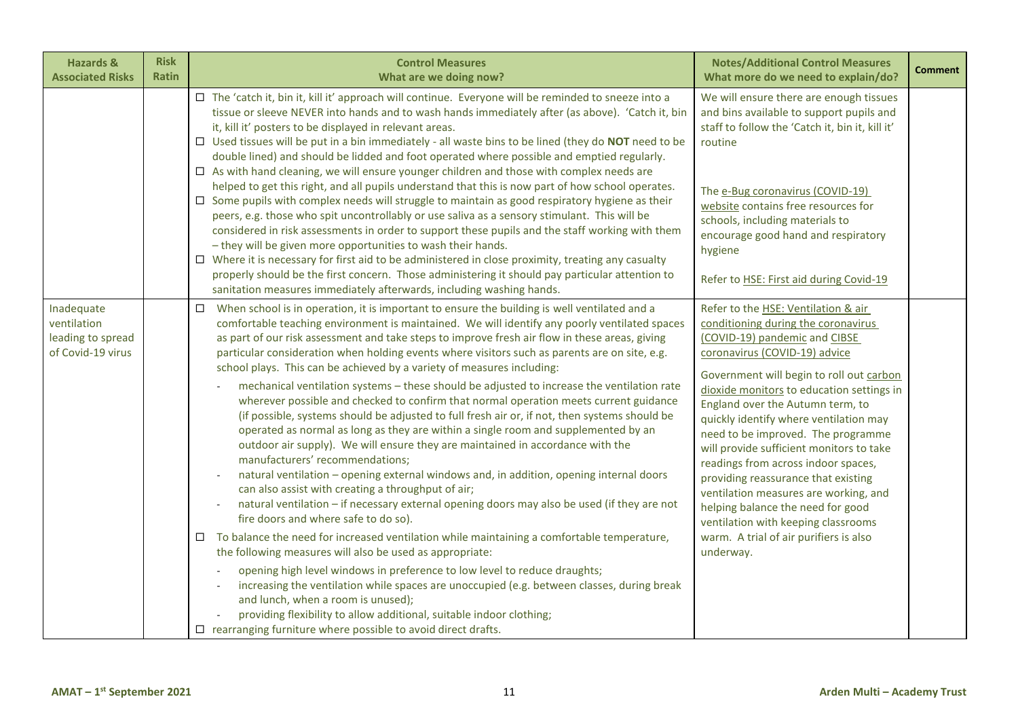| <b>Hazards &amp;</b><br><b>Associated Risks</b>                     | <b>Risk</b><br>Ratin | <b>Control Measures</b><br>What are we doing now?                                                                                                                                                                                                                                                                                                                                                                                                                                                                                                                                                                                                                                                                                                                                                                                                                                                                                                                                                                                                                                                                                                                                                                                                                                                                                                                                                                                                                                                                                                                                                                                                                                                                                                                                                         | <b>Notes/Additional Control Measures</b><br>What more do we need to explain/do?                                                                                                                                                                                                                                                                                                                                                                                                                                                                                                                                                                                 | <b>Comment</b> |
|---------------------------------------------------------------------|----------------------|-----------------------------------------------------------------------------------------------------------------------------------------------------------------------------------------------------------------------------------------------------------------------------------------------------------------------------------------------------------------------------------------------------------------------------------------------------------------------------------------------------------------------------------------------------------------------------------------------------------------------------------------------------------------------------------------------------------------------------------------------------------------------------------------------------------------------------------------------------------------------------------------------------------------------------------------------------------------------------------------------------------------------------------------------------------------------------------------------------------------------------------------------------------------------------------------------------------------------------------------------------------------------------------------------------------------------------------------------------------------------------------------------------------------------------------------------------------------------------------------------------------------------------------------------------------------------------------------------------------------------------------------------------------------------------------------------------------------------------------------------------------------------------------------------------------|-----------------------------------------------------------------------------------------------------------------------------------------------------------------------------------------------------------------------------------------------------------------------------------------------------------------------------------------------------------------------------------------------------------------------------------------------------------------------------------------------------------------------------------------------------------------------------------------------------------------------------------------------------------------|----------------|
|                                                                     |                      | □ The 'catch it, bin it, kill it' approach will continue. Everyone will be reminded to sneeze into a<br>tissue or sleeve NEVER into hands and to wash hands immediately after (as above). 'Catch it, bin<br>it, kill it' posters to be displayed in relevant areas.<br>$\Box$ Used tissues will be put in a bin immediately - all waste bins to be lined (they do NOT need to be<br>double lined) and should be lidded and foot operated where possible and emptied regularly.<br>$\Box$ As with hand cleaning, we will ensure younger children and those with complex needs are<br>helped to get this right, and all pupils understand that this is now part of how school operates.<br>$\Box$ Some pupils with complex needs will struggle to maintain as good respiratory hygiene as their<br>peers, e.g. those who spit uncontrollably or use saliva as a sensory stimulant. This will be<br>considered in risk assessments in order to support these pupils and the staff working with them<br>- they will be given more opportunities to wash their hands.<br>$\Box$ Where it is necessary for first aid to be administered in close proximity, treating any casualty<br>properly should be the first concern. Those administering it should pay particular attention to<br>sanitation measures immediately afterwards, including washing hands.                                                                                                                                                                                                                                                                                                                                                                                                                                                    | We will ensure there are enough tissues<br>and bins available to support pupils and<br>staff to follow the 'Catch it, bin it, kill it'<br>routine<br>The e-Bug coronavirus (COVID-19)<br>website contains free resources for<br>schools, including materials to<br>encourage good hand and respiratory<br>hygiene<br>Refer to HSE: First aid during Covid-19                                                                                                                                                                                                                                                                                                    |                |
| Inadequate<br>ventilation<br>leading to spread<br>of Covid-19 virus |                      | When school is in operation, it is important to ensure the building is well ventilated and a<br>$\Box$<br>comfortable teaching environment is maintained. We will identify any poorly ventilated spaces<br>as part of our risk assessment and take steps to improve fresh air flow in these areas, giving<br>particular consideration when holding events where visitors such as parents are on site, e.g.<br>school plays. This can be achieved by a variety of measures including:<br>mechanical ventilation systems - these should be adjusted to increase the ventilation rate<br>wherever possible and checked to confirm that normal operation meets current guidance<br>(if possible, systems should be adjusted to full fresh air or, if not, then systems should be<br>operated as normal as long as they are within a single room and supplemented by an<br>outdoor air supply). We will ensure they are maintained in accordance with the<br>manufacturers' recommendations;<br>natural ventilation - opening external windows and, in addition, opening internal doors<br>can also assist with creating a throughput of air;<br>natural ventilation - if necessary external opening doors may also be used (if they are not<br>fire doors and where safe to do so).<br>To balance the need for increased ventilation while maintaining a comfortable temperature,<br>the following measures will also be used as appropriate:<br>opening high level windows in preference to low level to reduce draughts;<br>increasing the ventilation while spaces are unoccupied (e.g. between classes, during break<br>and lunch, when a room is unused);<br>providing flexibility to allow additional, suitable indoor clothing;<br>$\Box$ rearranging furniture where possible to avoid direct drafts. | Refer to the HSE: Ventilation & air<br>conditioning during the coronavirus<br>(COVID-19) pandemic and CIBSE<br>coronavirus (COVID-19) advice<br>Government will begin to roll out carbon<br>dioxide monitors to education settings in<br>England over the Autumn term, to<br>quickly identify where ventilation may<br>need to be improved. The programme<br>will provide sufficient monitors to take<br>readings from across indoor spaces,<br>providing reassurance that existing<br>ventilation measures are working, and<br>helping balance the need for good<br>ventilation with keeping classrooms<br>warm. A trial of air purifiers is also<br>underway. |                |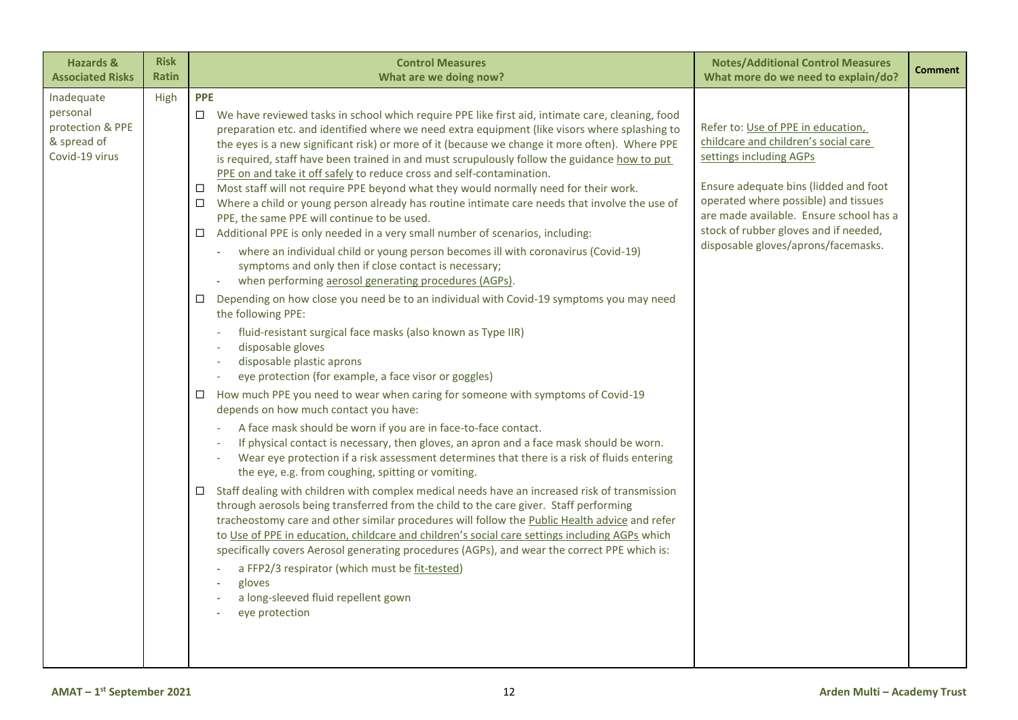| <b>Hazards &amp;</b>                                                        | <b>Risk</b>  | <b>Control Measures</b>                                                                                                                                                                                                                                                                                                                                                                                                                                                                                                                                                                                                                                                                                                                                                                                                                                                                                                                                                                                                                                                                                                                                                                                                                                                                                                                                                                                                                                                                                                                                                                                                                                                                                                                                                                                                                                                                                                                                                                                                                                                                                                                                                                                                                                                                                                                                                                                                                              | <b>Notes/Additional Control Measures</b>                                                                                                                                                                                                                                                                          | <b>Comment</b> |
|-----------------------------------------------------------------------------|--------------|------------------------------------------------------------------------------------------------------------------------------------------------------------------------------------------------------------------------------------------------------------------------------------------------------------------------------------------------------------------------------------------------------------------------------------------------------------------------------------------------------------------------------------------------------------------------------------------------------------------------------------------------------------------------------------------------------------------------------------------------------------------------------------------------------------------------------------------------------------------------------------------------------------------------------------------------------------------------------------------------------------------------------------------------------------------------------------------------------------------------------------------------------------------------------------------------------------------------------------------------------------------------------------------------------------------------------------------------------------------------------------------------------------------------------------------------------------------------------------------------------------------------------------------------------------------------------------------------------------------------------------------------------------------------------------------------------------------------------------------------------------------------------------------------------------------------------------------------------------------------------------------------------------------------------------------------------------------------------------------------------------------------------------------------------------------------------------------------------------------------------------------------------------------------------------------------------------------------------------------------------------------------------------------------------------------------------------------------------------------------------------------------------------------------------------------------------|-------------------------------------------------------------------------------------------------------------------------------------------------------------------------------------------------------------------------------------------------------------------------------------------------------------------|----------------|
| <b>Associated Risks</b>                                                     | <b>Ratin</b> | What are we doing now?                                                                                                                                                                                                                                                                                                                                                                                                                                                                                                                                                                                                                                                                                                                                                                                                                                                                                                                                                                                                                                                                                                                                                                                                                                                                                                                                                                                                                                                                                                                                                                                                                                                                                                                                                                                                                                                                                                                                                                                                                                                                                                                                                                                                                                                                                                                                                                                                                               | What more do we need to explain/do?                                                                                                                                                                                                                                                                               |                |
| Inadequate<br>personal<br>protection & PPE<br>& spread of<br>Covid-19 virus | High         | <b>PPE</b><br>$\Box$ We have reviewed tasks in school which require PPE like first aid, intimate care, cleaning, food<br>preparation etc. and identified where we need extra equipment (like visors where splashing to<br>the eyes is a new significant risk) or more of it (because we change it more often). Where PPE<br>is required, staff have been trained in and must scrupulously follow the guidance how to put<br>PPE on and take it off safely to reduce cross and self-contamination.<br>Most staff will not require PPE beyond what they would normally need for their work.<br>$\Box$<br>Where a child or young person already has routine intimate care needs that involve the use of<br>□<br>PPE, the same PPE will continue to be used.<br>Additional PPE is only needed in a very small number of scenarios, including:<br>$\Box$<br>where an individual child or young person becomes ill with coronavirus (Covid-19)<br>$\sim$<br>symptoms and only then if close contact is necessary;<br>when performing aerosol generating procedures (AGPs).<br>Depending on how close you need be to an individual with Covid-19 symptoms you may need<br>□<br>the following PPE:<br>fluid-resistant surgical face masks (also known as Type IIR)<br>disposable gloves<br>disposable plastic aprons<br>eye protection (for example, a face visor or goggles)<br>How much PPE you need to wear when caring for someone with symptoms of Covid-19<br>$\Box$<br>depends on how much contact you have:<br>A face mask should be worn if you are in face-to-face contact.<br>If physical contact is necessary, then gloves, an apron and a face mask should be worn.<br>Wear eye protection if a risk assessment determines that there is a risk of fluids entering<br>the eye, e.g. from coughing, spitting or vomiting.<br>Staff dealing with children with complex medical needs have an increased risk of transmission<br>□<br>through aerosols being transferred from the child to the care giver. Staff performing<br>tracheostomy care and other similar procedures will follow the Public Health advice and refer<br>to Use of PPE in education, childcare and children's social care settings including AGPs which<br>specifically covers Aerosol generating procedures (AGPs), and wear the correct PPE which is:<br>a FFP2/3 respirator (which must be fit-tested)<br>gloves<br>a long-sleeved fluid repellent gown<br>eye protection | Refer to: Use of PPE in education,<br>childcare and children's social care<br>settings including AGPs<br>Ensure adequate bins (lidded and foot<br>operated where possible) and tissues<br>are made available. Ensure school has a<br>stock of rubber gloves and if needed,<br>disposable gloves/aprons/facemasks. |                |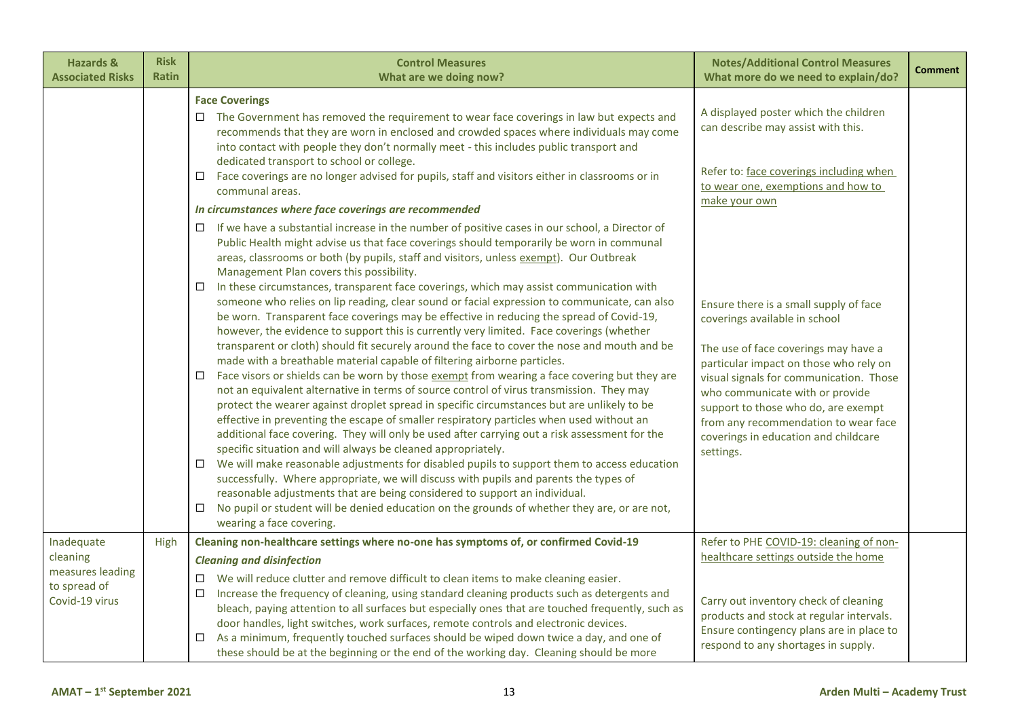| <b>Hazards &amp;</b><br><b>Associated Risks</b>                              | <b>Risk</b><br><b>Ratin</b> | <b>Control Measures</b><br>What are we doing now?                                                                                                                                                                                                                                                                                                                                                                                                                                                                                                                                                                                                                                                                                                                                                                                                                                                                                                                                                                                                                                                                                                                                                                                                                                                                                                                                                                                                                                                                                                                                                                                                                                                                                                                                                                                                                                                                                                                                                                                                                                                                                                                                                                                                                                                                                                                                                                             | <b>Notes/Additional Control Measures</b><br>What more do we need to explain/do?                                                                                                                                                                                                                                                                                                                                                                                                                                                                              | <b>Comment</b> |
|------------------------------------------------------------------------------|-----------------------------|-------------------------------------------------------------------------------------------------------------------------------------------------------------------------------------------------------------------------------------------------------------------------------------------------------------------------------------------------------------------------------------------------------------------------------------------------------------------------------------------------------------------------------------------------------------------------------------------------------------------------------------------------------------------------------------------------------------------------------------------------------------------------------------------------------------------------------------------------------------------------------------------------------------------------------------------------------------------------------------------------------------------------------------------------------------------------------------------------------------------------------------------------------------------------------------------------------------------------------------------------------------------------------------------------------------------------------------------------------------------------------------------------------------------------------------------------------------------------------------------------------------------------------------------------------------------------------------------------------------------------------------------------------------------------------------------------------------------------------------------------------------------------------------------------------------------------------------------------------------------------------------------------------------------------------------------------------------------------------------------------------------------------------------------------------------------------------------------------------------------------------------------------------------------------------------------------------------------------------------------------------------------------------------------------------------------------------------------------------------------------------------------------------------------------------|--------------------------------------------------------------------------------------------------------------------------------------------------------------------------------------------------------------------------------------------------------------------------------------------------------------------------------------------------------------------------------------------------------------------------------------------------------------------------------------------------------------------------------------------------------------|----------------|
|                                                                              |                             | <b>Face Coverings</b><br>The Government has removed the requirement to wear face coverings in law but expects and<br>$\Box$<br>recommends that they are worn in enclosed and crowded spaces where individuals may come<br>into contact with people they don't normally meet - this includes public transport and<br>dedicated transport to school or college.<br>Face coverings are no longer advised for pupils, staff and visitors either in classrooms or in<br>$\Box$<br>communal areas.<br>In circumstances where face coverings are recommended<br>If we have a substantial increase in the number of positive cases in our school, a Director of<br>□<br>Public Health might advise us that face coverings should temporarily be worn in communal<br>areas, classrooms or both (by pupils, staff and visitors, unless exempt). Our Outbreak<br>Management Plan covers this possibility.<br>In these circumstances, transparent face coverings, which may assist communication with<br>□<br>someone who relies on lip reading, clear sound or facial expression to communicate, can also<br>be worn. Transparent face coverings may be effective in reducing the spread of Covid-19,<br>however, the evidence to support this is currently very limited. Face coverings (whether<br>transparent or cloth) should fit securely around the face to cover the nose and mouth and be<br>made with a breathable material capable of filtering airborne particles.<br>Face visors or shields can be worn by those exempt from wearing a face covering but they are<br>$\Box$<br>not an equivalent alternative in terms of source control of virus transmission. They may<br>protect the wearer against droplet spread in specific circumstances but are unlikely to be<br>effective in preventing the escape of smaller respiratory particles when used without an<br>additional face covering. They will only be used after carrying out a risk assessment for the<br>specific situation and will always be cleaned appropriately.<br>We will make reasonable adjustments for disabled pupils to support them to access education<br>$\Box$<br>successfully. Where appropriate, we will discuss with pupils and parents the types of<br>reasonable adjustments that are being considered to support an individual.<br>No pupil or student will be denied education on the grounds of whether they are, or are not,<br>$\Box$ | A displayed poster which the children<br>can describe may assist with this.<br>Refer to: face coverings including when<br>to wear one, exemptions and how to<br>make your own<br>Ensure there is a small supply of face<br>coverings available in school<br>The use of face coverings may have a<br>particular impact on those who rely on<br>visual signals for communication. Those<br>who communicate with or provide<br>support to those who do, are exempt<br>from any recommendation to wear face<br>coverings in education and childcare<br>settings. |                |
| Inadequate<br>cleaning<br>measures leading<br>to spread of<br>Covid-19 virus | High                        | wearing a face covering.<br>Cleaning non-healthcare settings where no-one has symptoms of, or confirmed Covid-19<br><b>Cleaning and disinfection</b><br>We will reduce clutter and remove difficult to clean items to make cleaning easier.<br>□<br>Increase the frequency of cleaning, using standard cleaning products such as detergents and<br>□<br>bleach, paying attention to all surfaces but especially ones that are touched frequently, such as<br>door handles, light switches, work surfaces, remote controls and electronic devices.<br>As a minimum, frequently touched surfaces should be wiped down twice a day, and one of<br>□<br>these should be at the beginning or the end of the working day. Cleaning should be more                                                                                                                                                                                                                                                                                                                                                                                                                                                                                                                                                                                                                                                                                                                                                                                                                                                                                                                                                                                                                                                                                                                                                                                                                                                                                                                                                                                                                                                                                                                                                                                                                                                                                   | Refer to PHE COVID-19: cleaning of non-<br>healthcare settings outside the home<br>Carry out inventory check of cleaning<br>products and stock at regular intervals.<br>Ensure contingency plans are in place to<br>respond to any shortages in supply.                                                                                                                                                                                                                                                                                                      |                |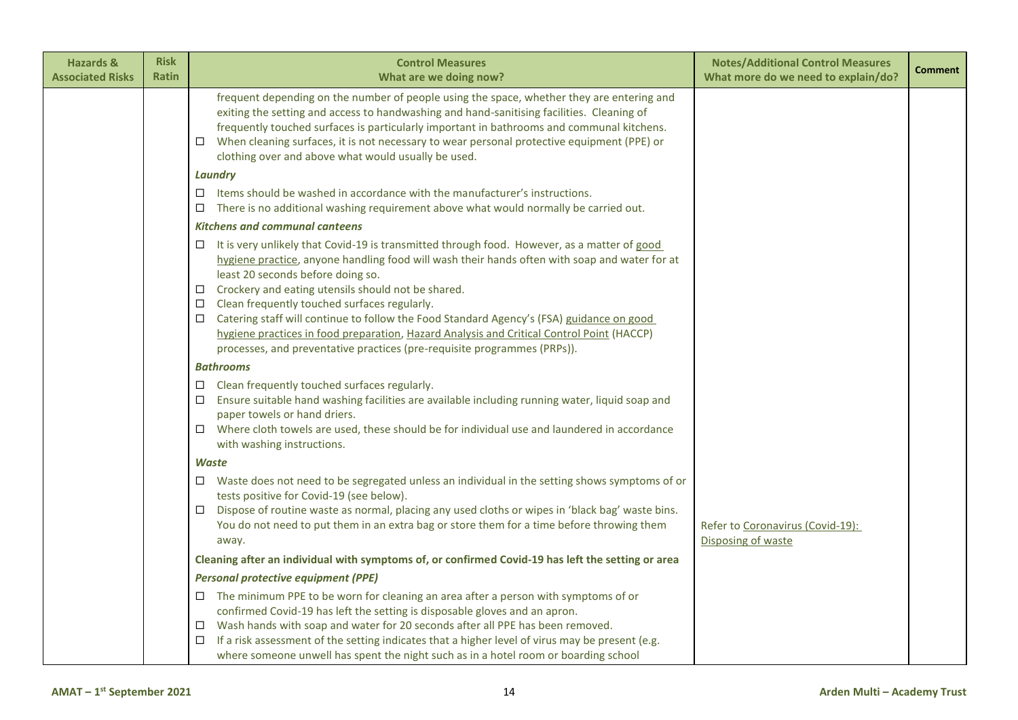| <b>Hazards &amp;</b><br><b>Associated Risks</b> | <b>Risk</b><br><b>Ratin</b> | <b>Control Measures</b><br>What are we doing now?                                                                                                                                                                                                                                                                                                                                                                                                                                                                                                                                                                                     | <b>Notes/Additional Control Measures</b><br>What more do we need to explain/do? | <b>Comment</b> |
|-------------------------------------------------|-----------------------------|---------------------------------------------------------------------------------------------------------------------------------------------------------------------------------------------------------------------------------------------------------------------------------------------------------------------------------------------------------------------------------------------------------------------------------------------------------------------------------------------------------------------------------------------------------------------------------------------------------------------------------------|---------------------------------------------------------------------------------|----------------|
|                                                 |                             | frequent depending on the number of people using the space, whether they are entering and<br>exiting the setting and access to handwashing and hand-sanitising facilities. Cleaning of<br>frequently touched surfaces is particularly important in bathrooms and communal kitchens.<br>When cleaning surfaces, it is not necessary to wear personal protective equipment (PPE) or<br>$\Box$<br>clothing over and above what would usually be used.                                                                                                                                                                                    |                                                                                 |                |
|                                                 |                             | Laundry                                                                                                                                                                                                                                                                                                                                                                                                                                                                                                                                                                                                                               |                                                                                 |                |
|                                                 |                             | Items should be washed in accordance with the manufacturer's instructions.<br>$\Box$<br>There is no additional washing requirement above what would normally be carried out.<br>$\Box$                                                                                                                                                                                                                                                                                                                                                                                                                                                |                                                                                 |                |
|                                                 |                             | <b>Kitchens and communal canteens</b>                                                                                                                                                                                                                                                                                                                                                                                                                                                                                                                                                                                                 |                                                                                 |                |
|                                                 |                             | It is very unlikely that Covid-19 is transmitted through food. However, as a matter of good<br>□<br>hygiene practice, anyone handling food will wash their hands often with soap and water for at<br>least 20 seconds before doing so.<br>Crockery and eating utensils should not be shared.<br>$\Box$<br>Clean frequently touched surfaces regularly.<br>□<br>Catering staff will continue to follow the Food Standard Agency's (FSA) guidance on good<br>□<br>hygiene practices in food preparation, Hazard Analysis and Critical Control Point (HACCP)<br>processes, and preventative practices (pre-requisite programmes (PRPs)). |                                                                                 |                |
|                                                 |                             | <b>Bathrooms</b>                                                                                                                                                                                                                                                                                                                                                                                                                                                                                                                                                                                                                      |                                                                                 |                |
|                                                 |                             | Clean frequently touched surfaces regularly.<br>$\Box$<br>Ensure suitable hand washing facilities are available including running water, liquid soap and<br>□<br>paper towels or hand driers.<br>Where cloth towels are used, these should be for individual use and laundered in accordance<br>□<br>with washing instructions.                                                                                                                                                                                                                                                                                                       |                                                                                 |                |
|                                                 |                             | <b>Waste</b>                                                                                                                                                                                                                                                                                                                                                                                                                                                                                                                                                                                                                          |                                                                                 |                |
|                                                 |                             | Waste does not need to be segregated unless an individual in the setting shows symptoms of or<br>□<br>tests positive for Covid-19 (see below).<br>Dispose of routine waste as normal, placing any used cloths or wipes in 'black bag' waste bins.<br>□<br>You do not need to put them in an extra bag or store them for a time before throwing them<br>away.                                                                                                                                                                                                                                                                          | Refer to Coronavirus (Covid-19):<br>Disposing of waste                          |                |
|                                                 |                             | Cleaning after an individual with symptoms of, or confirmed Covid-19 has left the setting or area                                                                                                                                                                                                                                                                                                                                                                                                                                                                                                                                     |                                                                                 |                |
|                                                 |                             | <b>Personal protective equipment (PPE)</b>                                                                                                                                                                                                                                                                                                                                                                                                                                                                                                                                                                                            |                                                                                 |                |
|                                                 |                             | $\Box$ The minimum PPE to be worn for cleaning an area after a person with symptoms of or<br>confirmed Covid-19 has left the setting is disposable gloves and an apron.<br>Wash hands with soap and water for 20 seconds after all PPE has been removed.<br>$\Box$<br>If a risk assessment of the setting indicates that a higher level of virus may be present (e.g.<br>□<br>where someone unwell has spent the night such as in a hotel room or boarding school                                                                                                                                                                     |                                                                                 |                |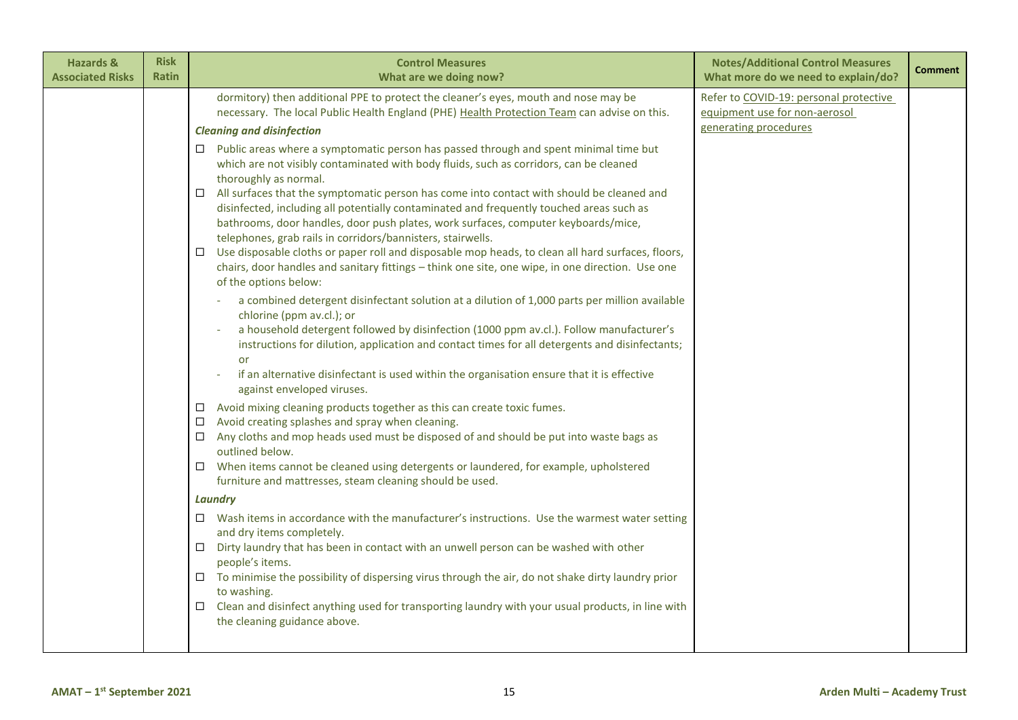| dormitory) then additional PPE to protect the cleaner's eyes, mouth and nose may be<br>Refer to COVID-19: personal protective<br>necessary. The local Public Health England (PHE) Health Protection Team can advise on this.<br>equipment use for non-aerosol<br>generating procedures<br><b>Cleaning and disinfection</b><br>$\Box$ Public areas where a symptomatic person has passed through and spent minimal time but<br>which are not visibly contaminated with body fluids, such as corridors, can be cleaned<br>thoroughly as normal.<br>All surfaces that the symptomatic person has come into contact with should be cleaned and<br>$\Box$<br>disinfected, including all potentially contaminated and frequently touched areas such as<br>bathrooms, door handles, door push plates, work surfaces, computer keyboards/mice,<br>telephones, grab rails in corridors/bannisters, stairwells.<br>$\Box$ Use disposable cloths or paper roll and disposable mop heads, to clean all hard surfaces, floors,<br>chairs, door handles and sanitary fittings - think one site, one wipe, in one direction. Use one<br>of the options below:<br>a combined detergent disinfectant solution at a dilution of 1,000 parts per million available<br>chlorine (ppm av.cl.); or<br>a household detergent followed by disinfection (1000 ppm av.cl.). Follow manufacturer's<br>instructions for dilution, application and contact times for all detergents and disinfectants;<br>or<br>if an alternative disinfectant is used within the organisation ensure that it is effective<br>against enveloped viruses.<br>Avoid mixing cleaning products together as this can create toxic fumes.<br>$\Box$<br>Avoid creating splashes and spray when cleaning.<br>$\Box$<br>Any cloths and mop heads used must be disposed of and should be put into waste bags as<br>□<br>outlined below.<br>When items cannot be cleaned using detergents or laundered, for example, upholstered<br>$\Box$<br>furniture and mattresses, steam cleaning should be used.<br><b>Laundry</b><br>$\Box$ Wash items in accordance with the manufacturer's instructions. Use the warmest water setting<br>and dry items completely.<br>Dirty laundry that has been in contact with an unwell person can be washed with other<br>$\Box$<br>people's items.<br>$\Box$ To minimise the possibility of dispersing virus through the air, do not shake dirty laundry prior<br>to washing.<br>Clean and disinfect anything used for transporting laundry with your usual products, in line with<br>$\Box$<br>the cleaning guidance above. | <b>Hazards &amp;</b><br><b>Associated Risks</b> | <b>Risk</b><br><b>Ratin</b> | <b>Control Measures</b><br>What are we doing now? | <b>Notes/Additional Control Measures</b><br>What more do we need to explain/do? | <b>Comment</b> |
|------------------------------------------------------------------------------------------------------------------------------------------------------------------------------------------------------------------------------------------------------------------------------------------------------------------------------------------------------------------------------------------------------------------------------------------------------------------------------------------------------------------------------------------------------------------------------------------------------------------------------------------------------------------------------------------------------------------------------------------------------------------------------------------------------------------------------------------------------------------------------------------------------------------------------------------------------------------------------------------------------------------------------------------------------------------------------------------------------------------------------------------------------------------------------------------------------------------------------------------------------------------------------------------------------------------------------------------------------------------------------------------------------------------------------------------------------------------------------------------------------------------------------------------------------------------------------------------------------------------------------------------------------------------------------------------------------------------------------------------------------------------------------------------------------------------------------------------------------------------------------------------------------------------------------------------------------------------------------------------------------------------------------------------------------------------------------------------------------------------------------------------------------------------------------------------------------------------------------------------------------------------------------------------------------------------------------------------------------------------------------------------------------------------------------------------------------------------------------------------------------------------------------------------------------------------------------------------------------|-------------------------------------------------|-----------------------------|---------------------------------------------------|---------------------------------------------------------------------------------|----------------|
|                                                                                                                                                                                                                                                                                                                                                                                                                                                                                                                                                                                                                                                                                                                                                                                                                                                                                                                                                                                                                                                                                                                                                                                                                                                                                                                                                                                                                                                                                                                                                                                                                                                                                                                                                                                                                                                                                                                                                                                                                                                                                                                                                                                                                                                                                                                                                                                                                                                                                                                                                                                                      |                                                 |                             |                                                   |                                                                                 |                |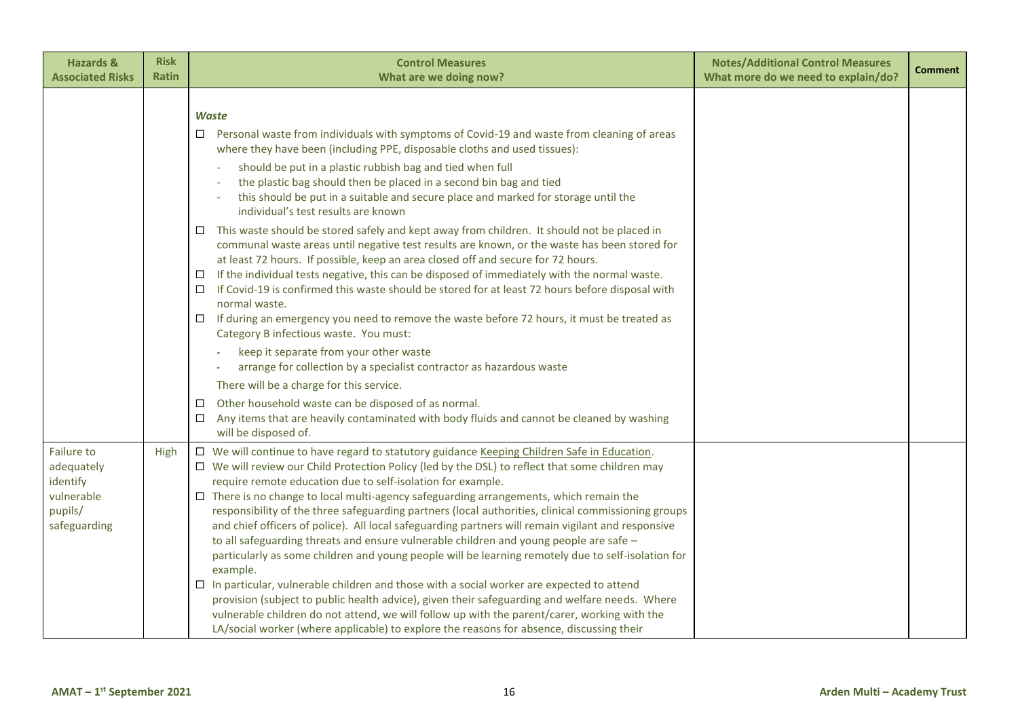| <b>Hazards &amp;</b><br><b>Associated Risks</b>                               | <b>Risk</b><br><b>Ratin</b> | <b>Control Measures</b><br>What are we doing now?                                                                                                                                                                                                                                                                                                                                                                                                                                                                                                                                                                                                                                                                                                                                                                                                                                                                                                                                                                                                                                                                                                                                                                                                                                                                                                                                                                                                                                                   | <b>Notes/Additional Control Measures</b><br>What more do we need to explain/do? | <b>Comment</b> |
|-------------------------------------------------------------------------------|-----------------------------|-----------------------------------------------------------------------------------------------------------------------------------------------------------------------------------------------------------------------------------------------------------------------------------------------------------------------------------------------------------------------------------------------------------------------------------------------------------------------------------------------------------------------------------------------------------------------------------------------------------------------------------------------------------------------------------------------------------------------------------------------------------------------------------------------------------------------------------------------------------------------------------------------------------------------------------------------------------------------------------------------------------------------------------------------------------------------------------------------------------------------------------------------------------------------------------------------------------------------------------------------------------------------------------------------------------------------------------------------------------------------------------------------------------------------------------------------------------------------------------------------------|---------------------------------------------------------------------------------|----------------|
|                                                                               |                             | Waste<br>$\Box$ Personal waste from individuals with symptoms of Covid-19 and waste from cleaning of areas<br>where they have been (including PPE, disposable cloths and used tissues):<br>should be put in a plastic rubbish bag and tied when full<br>the plastic bag should then be placed in a second bin bag and tied<br>this should be put in a suitable and secure place and marked for storage until the<br>individual's test results are known<br>$\Box$ This waste should be stored safely and kept away from children. It should not be placed in<br>communal waste areas until negative test results are known, or the waste has been stored for<br>at least 72 hours. If possible, keep an area closed off and secure for 72 hours.<br>If the individual tests negative, this can be disposed of immediately with the normal waste.<br>$\Box$<br>If Covid-19 is confirmed this waste should be stored for at least 72 hours before disposal with<br>$\Box$<br>normal waste.<br>If during an emergency you need to remove the waste before 72 hours, it must be treated as<br>$\Box$<br>Category B infectious waste. You must:<br>keep it separate from your other waste<br>arrange for collection by a specialist contractor as hazardous waste<br>There will be a charge for this service.<br>Other household waste can be disposed of as normal.<br>□<br>Any items that are heavily contaminated with body fluids and cannot be cleaned by washing<br>$\Box$<br>will be disposed of. |                                                                                 |                |
| Failure to<br>adequately<br>identify<br>vulnerable<br>pupils/<br>safeguarding | High                        | □ We will continue to have regard to statutory guidance Keeping Children Safe in Education.<br>$\Box$ We will review our Child Protection Policy (led by the DSL) to reflect that some children may<br>require remote education due to self-isolation for example.<br>$\Box$ There is no change to local multi-agency safeguarding arrangements, which remain the<br>responsibility of the three safeguarding partners (local authorities, clinical commissioning groups<br>and chief officers of police). All local safeguarding partners will remain vigilant and responsive<br>to all safeguarding threats and ensure vulnerable children and young people are safe -<br>particularly as some children and young people will be learning remotely due to self-isolation for<br>example.<br>$\Box$ In particular, vulnerable children and those with a social worker are expected to attend<br>provision (subject to public health advice), given their safeguarding and welfare needs. Where<br>vulnerable children do not attend, we will follow up with the parent/carer, working with the<br>LA/social worker (where applicable) to explore the reasons for absence, discussing their                                                                                                                                                                                                                                                                                                         |                                                                                 |                |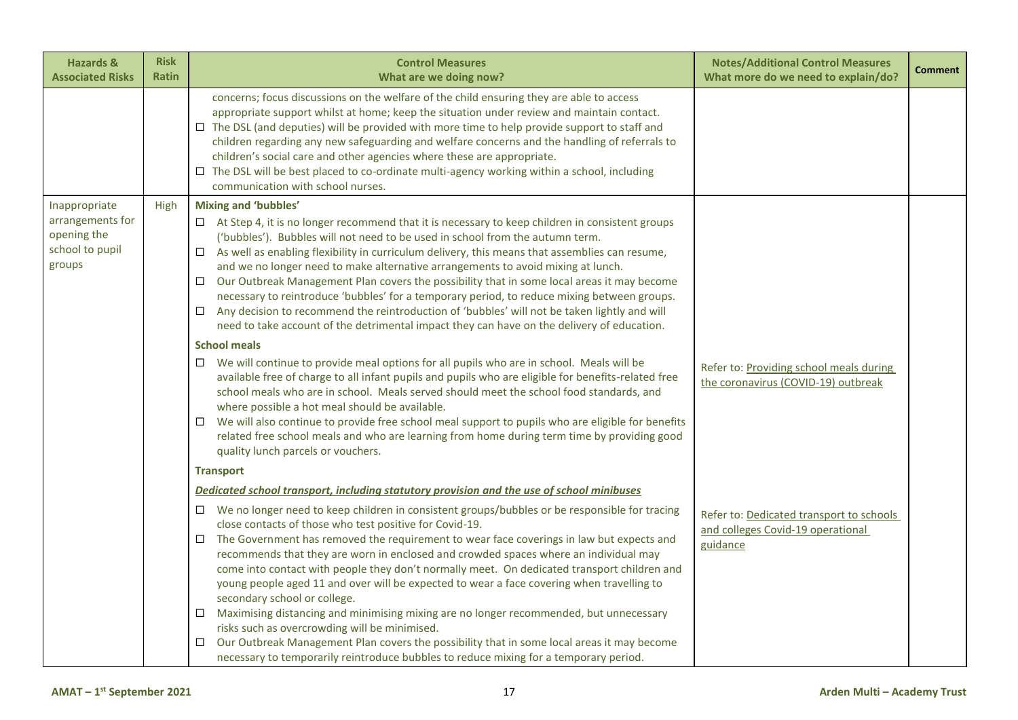| <b>Hazards &amp;</b><br><b>Associated Risks</b>                               | <b>Risk</b><br>Ratin | <b>Control Measures</b><br>What are we doing now?                                                                                                                                                                                                                                                                                                                                                                                                                                                                                                                                                                                                                                                                                                                                                                                                                                                                                                                                                                                                                                                                                                                                                                                                                                                                                                                                                                                                                                                                                                                                                                                                                                                                                                    | <b>Notes/Additional Control Measures</b><br>What more do we need to explain/do?                                            | <b>Comment</b> |
|-------------------------------------------------------------------------------|----------------------|------------------------------------------------------------------------------------------------------------------------------------------------------------------------------------------------------------------------------------------------------------------------------------------------------------------------------------------------------------------------------------------------------------------------------------------------------------------------------------------------------------------------------------------------------------------------------------------------------------------------------------------------------------------------------------------------------------------------------------------------------------------------------------------------------------------------------------------------------------------------------------------------------------------------------------------------------------------------------------------------------------------------------------------------------------------------------------------------------------------------------------------------------------------------------------------------------------------------------------------------------------------------------------------------------------------------------------------------------------------------------------------------------------------------------------------------------------------------------------------------------------------------------------------------------------------------------------------------------------------------------------------------------------------------------------------------------------------------------------------------------|----------------------------------------------------------------------------------------------------------------------------|----------------|
|                                                                               |                      | concerns; focus discussions on the welfare of the child ensuring they are able to access<br>appropriate support whilst at home; keep the situation under review and maintain contact.<br>$\Box$ The DSL (and deputies) will be provided with more time to help provide support to staff and<br>children regarding any new safeguarding and welfare concerns and the handling of referrals to<br>children's social care and other agencies where these are appropriate.<br>□ The DSL will be best placed to co-ordinate multi-agency working within a school, including<br>communication with school nurses.                                                                                                                                                                                                                                                                                                                                                                                                                                                                                                                                                                                                                                                                                                                                                                                                                                                                                                                                                                                                                                                                                                                                          |                                                                                                                            |                |
| Inappropriate<br>arrangements for<br>opening the<br>school to pupil<br>groups | High                 | <b>Mixing and 'bubbles'</b><br>$\Box$ At Step 4, it is no longer recommend that it is necessary to keep children in consistent groups<br>('bubbles'). Bubbles will not need to be used in school from the autumn term.<br>$\Box$ As well as enabling flexibility in curriculum delivery, this means that assemblies can resume,<br>and we no longer need to make alternative arrangements to avoid mixing at lunch.<br>Our Outbreak Management Plan covers the possibility that in some local areas it may become<br>□<br>necessary to reintroduce 'bubbles' for a temporary period, to reduce mixing between groups.<br>Any decision to recommend the reintroduction of 'bubbles' will not be taken lightly and will<br>$\Box$<br>need to take account of the detrimental impact they can have on the delivery of education.<br><b>School meals</b><br>We will continue to provide meal options for all pupils who are in school. Meals will be<br>□<br>available free of charge to all infant pupils and pupils who are eligible for benefits-related free<br>school meals who are in school. Meals served should meet the school food standards, and<br>where possible a hot meal should be available.<br>We will also continue to provide free school meal support to pupils who are eligible for benefits<br>$\Box$<br>related free school meals and who are learning from home during term time by providing good<br>quality lunch parcels or vouchers.<br><b>Transport</b><br>Dedicated school transport, including statutory provision and the use of school minibuses<br>We no longer need to keep children in consistent groups/bubbles or be responsible for tracing<br>$\Box$<br>close contacts of those who test positive for Covid-19. | Refer to: Providing school meals during<br>the coronavirus (COVID-19) outbreak<br>Refer to: Dedicated transport to schools |                |
|                                                                               |                      | The Government has removed the requirement to wear face coverings in law but expects and<br>$\Box$<br>recommends that they are worn in enclosed and crowded spaces where an individual may<br>come into contact with people they don't normally meet. On dedicated transport children and<br>young people aged 11 and over will be expected to wear a face covering when travelling to<br>secondary school or college.<br>Maximising distancing and minimising mixing are no longer recommended, but unnecessary<br>□<br>risks such as overcrowding will be minimised.<br>Our Outbreak Management Plan covers the possibility that in some local areas it may become<br>$\Box$<br>necessary to temporarily reintroduce bubbles to reduce mixing for a temporary period.                                                                                                                                                                                                                                                                                                                                                                                                                                                                                                                                                                                                                                                                                                                                                                                                                                                                                                                                                                              | and colleges Covid-19 operational<br>guidance                                                                              |                |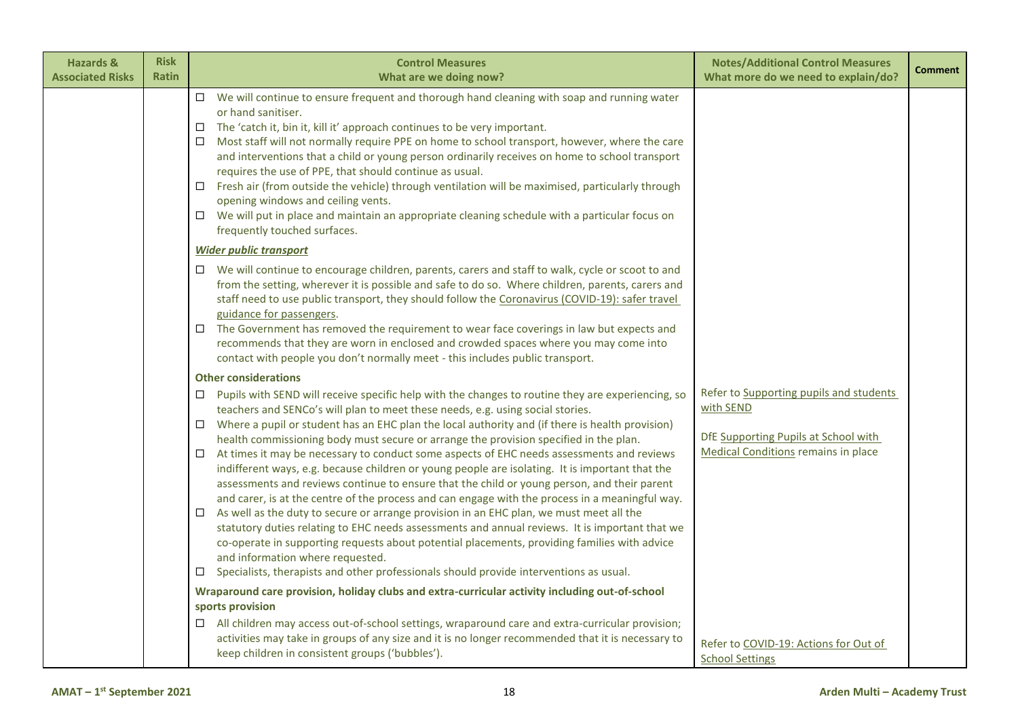| <b>Hazards &amp;</b><br><b>Associated Risks</b> | <b>Risk</b><br><b>Ratin</b> | <b>Control Measures</b><br>What are we doing now?                                                                                                                                                                                                                                                                                                                                                                                                                                                                                                                                                                                                                                                                                                                                                                                                                                                                                                                                                                                                                                                                                                                                                                                                                                   | <b>Notes/Additional Control Measures</b><br>What more do we need to explain/do?                                                     | <b>Comment</b> |
|-------------------------------------------------|-----------------------------|-------------------------------------------------------------------------------------------------------------------------------------------------------------------------------------------------------------------------------------------------------------------------------------------------------------------------------------------------------------------------------------------------------------------------------------------------------------------------------------------------------------------------------------------------------------------------------------------------------------------------------------------------------------------------------------------------------------------------------------------------------------------------------------------------------------------------------------------------------------------------------------------------------------------------------------------------------------------------------------------------------------------------------------------------------------------------------------------------------------------------------------------------------------------------------------------------------------------------------------------------------------------------------------|-------------------------------------------------------------------------------------------------------------------------------------|----------------|
|                                                 |                             | $\Box$ We will continue to ensure frequent and thorough hand cleaning with soap and running water<br>or hand sanitiser.<br>The 'catch it, bin it, kill it' approach continues to be very important.<br>$\Box$<br>Most staff will not normally require PPE on home to school transport, however, where the care<br>□<br>and interventions that a child or young person ordinarily receives on home to school transport<br>requires the use of PPE, that should continue as usual.<br>Fresh air (from outside the vehicle) through ventilation will be maximised, particularly through<br>$\Box$<br>opening windows and ceiling vents.<br>We will put in place and maintain an appropriate cleaning schedule with a particular focus on<br>□<br>frequently touched surfaces.                                                                                                                                                                                                                                                                                                                                                                                                                                                                                                          |                                                                                                                                     |                |
|                                                 |                             | <b>Wider public transport</b><br>We will continue to encourage children, parents, carers and staff to walk, cycle or scoot to and<br>□<br>from the setting, wherever it is possible and safe to do so. Where children, parents, carers and<br>staff need to use public transport, they should follow the Coronavirus (COVID-19): safer travel<br>guidance for passengers.<br>The Government has removed the requirement to wear face coverings in law but expects and<br>$\Box$<br>recommends that they are worn in enclosed and crowded spaces where you may come into<br>contact with people you don't normally meet - this includes public transport.                                                                                                                                                                                                                                                                                                                                                                                                                                                                                                                                                                                                                            |                                                                                                                                     |                |
|                                                 |                             | <b>Other considerations</b><br>Pupils with SEND will receive specific help with the changes to routine they are experiencing, so<br>$\Box$<br>teachers and SENCo's will plan to meet these needs, e.g. using social stories.<br>Where a pupil or student has an EHC plan the local authority and (if there is health provision)<br>$\Box$<br>health commissioning body must secure or arrange the provision specified in the plan.<br>At times it may be necessary to conduct some aspects of EHC needs assessments and reviews<br>□<br>indifferent ways, e.g. because children or young people are isolating. It is important that the<br>assessments and reviews continue to ensure that the child or young person, and their parent<br>and carer, is at the centre of the process and can engage with the process in a meaningful way.<br>As well as the duty to secure or arrange provision in an EHC plan, we must meet all the<br>□<br>statutory duties relating to EHC needs assessments and annual reviews. It is important that we<br>co-operate in supporting requests about potential placements, providing families with advice<br>and information where requested.<br>Specialists, therapists and other professionals should provide interventions as usual.<br>$\Box$ | Refer to Supporting pupils and students<br>with SEND<br>DfE Supporting Pupils at School with<br>Medical Conditions remains in place |                |
|                                                 |                             | Wraparound care provision, holiday clubs and extra-curricular activity including out-of-school<br>sports provision<br>All children may access out-of-school settings, wraparound care and extra-curricular provision;<br>activities may take in groups of any size and it is no longer recommended that it is necessary to<br>keep children in consistent groups ('bubbles').                                                                                                                                                                                                                                                                                                                                                                                                                                                                                                                                                                                                                                                                                                                                                                                                                                                                                                       | Refer to COVID-19: Actions for Out of<br><b>School Settings</b>                                                                     |                |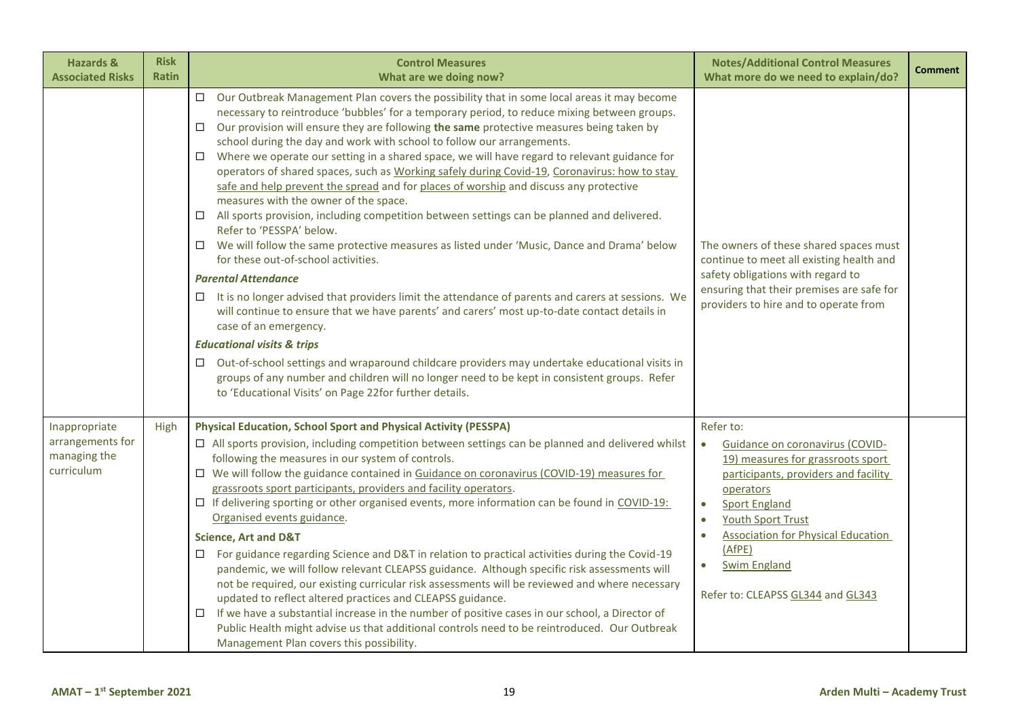| <b>Hazards &amp;</b><br><b>Associated Risks</b>                 | <b>Risk</b><br><b>Ratin</b> | <b>Control Measures</b><br>What are we doing now?                                                                                                                                                                                                                                                                                                                                                                                                                                                                                                                                                                                                                                                                                                                                                                                                                                                                                                                                                                                                                                                                                                                                                                                                                                                                                                                                                                                                                                                                                                                                 | <b>Notes/Additional Control Measures</b><br>What more do we need to explain/do?                                                                                                                                                                                                                                                                                                | <b>Comment</b> |
|-----------------------------------------------------------------|-----------------------------|-----------------------------------------------------------------------------------------------------------------------------------------------------------------------------------------------------------------------------------------------------------------------------------------------------------------------------------------------------------------------------------------------------------------------------------------------------------------------------------------------------------------------------------------------------------------------------------------------------------------------------------------------------------------------------------------------------------------------------------------------------------------------------------------------------------------------------------------------------------------------------------------------------------------------------------------------------------------------------------------------------------------------------------------------------------------------------------------------------------------------------------------------------------------------------------------------------------------------------------------------------------------------------------------------------------------------------------------------------------------------------------------------------------------------------------------------------------------------------------------------------------------------------------------------------------------------------------|--------------------------------------------------------------------------------------------------------------------------------------------------------------------------------------------------------------------------------------------------------------------------------------------------------------------------------------------------------------------------------|----------------|
|                                                                 |                             | $\Box$<br>Our Outbreak Management Plan covers the possibility that in some local areas it may become<br>necessary to reintroduce 'bubbles' for a temporary period, to reduce mixing between groups.<br>Our provision will ensure they are following the same protective measures being taken by<br>$\Box$<br>school during the day and work with school to follow our arrangements.<br>Where we operate our setting in a shared space, we will have regard to relevant guidance for<br>□<br>operators of shared spaces, such as Working safely during Covid-19, Coronavirus: how to stay<br>safe and help prevent the spread and for places of worship and discuss any protective<br>measures with the owner of the space.<br>$\Box$ All sports provision, including competition between settings can be planned and delivered.<br>Refer to 'PESSPA' below.<br>We will follow the same protective measures as listed under 'Music, Dance and Drama' below<br>□<br>for these out-of-school activities.<br><b>Parental Attendance</b><br>It is no longer advised that providers limit the attendance of parents and carers at sessions. We<br>□<br>will continue to ensure that we have parents' and carers' most up-to-date contact details in<br>case of an emergency.<br><b>Educational visits &amp; trips</b><br>$\Box$ Out-of-school settings and wraparound childcare providers may undertake educational visits in<br>groups of any number and children will no longer need to be kept in consistent groups. Refer<br>to 'Educational Visits' on Page 22for further details. | The owners of these shared spaces must<br>continue to meet all existing health and<br>safety obligations with regard to<br>ensuring that their premises are safe for<br>providers to hire and to operate from                                                                                                                                                                  |                |
| Inappropriate<br>arrangements for<br>managing the<br>curriculum | High                        | <b>Physical Education, School Sport and Physical Activity (PESSPA)</b><br>$\Box$ All sports provision, including competition between settings can be planned and delivered whilst<br>following the measures in our system of controls.<br>$\Box$ We will follow the guidance contained in Guidance on coronavirus (COVID-19) measures for<br>grassroots sport participants, providers and facility operators.<br>$\Box$ If delivering sporting or other organised events, more information can be found in COVID-19:<br>Organised events guidance.<br><b>Science, Art and D&amp;T</b><br>For guidance regarding Science and D&T in relation to practical activities during the Covid-19<br>□<br>pandemic, we will follow relevant CLEAPSS guidance. Although specific risk assessments will<br>not be required, our existing curricular risk assessments will be reviewed and where necessary<br>updated to reflect altered practices and CLEAPSS guidance.<br>If we have a substantial increase in the number of positive cases in our school, a Director of<br>□<br>Public Health might advise us that additional controls need to be reintroduced. Our Outbreak<br>Management Plan covers this possibility.                                                                                                                                                                                                                                                                                                                                                                    | Refer to:<br>Guidance on coronavirus (COVID-<br>$\bullet$<br>19) measures for grassroots sport<br>participants, providers and facility<br>operators<br><b>Sport England</b><br>$\bullet$<br><b>Youth Sport Trust</b><br>$\bullet$<br><b>Association for Physical Education</b><br>$\bullet$<br>(AfPE)<br><b>Swim England</b><br>$\bullet$<br>Refer to: CLEAPSS GL344 and GL343 |                |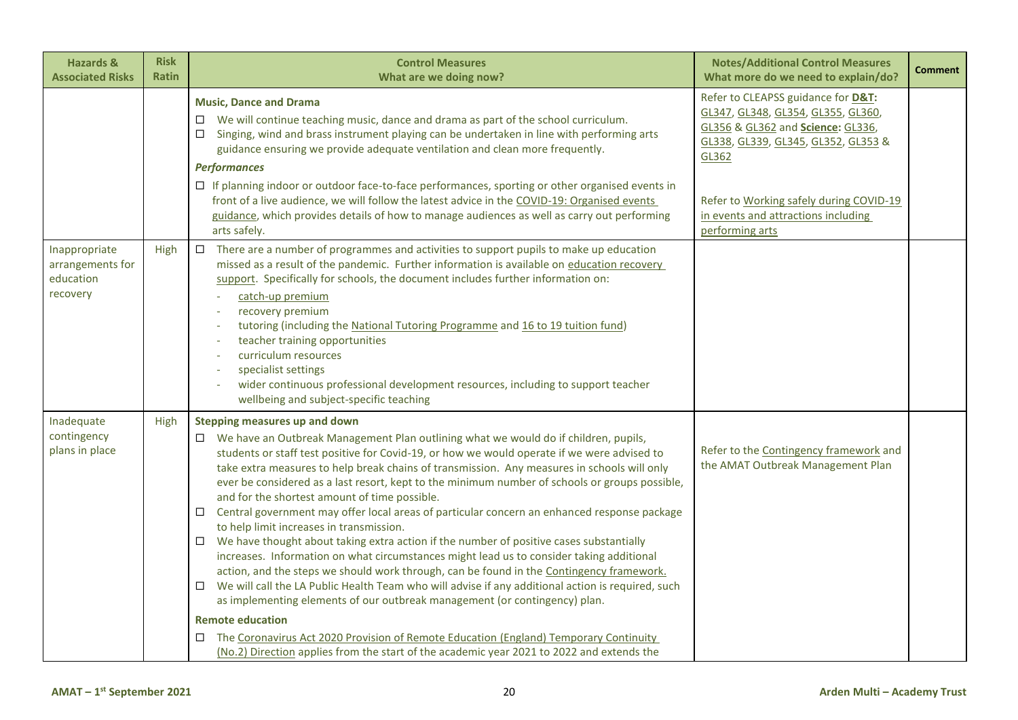| <b>Hazards &amp;</b><br><b>Associated Risks</b>            | <b>Risk</b><br><b>Ratin</b> | <b>Control Measures</b><br>What are we doing now?                                                                                                                                                                                                                                                                                                                                                                                                                                                                                                                                                                                                                                                                                                                                                                                                                                                                                                                                                                                                                                                                                                                                                                                                                                                                                      | <b>Notes/Additional Control Measures</b><br>What more do we need to explain/do?                                                                                                                                                                                    | <b>Comment</b> |
|------------------------------------------------------------|-----------------------------|----------------------------------------------------------------------------------------------------------------------------------------------------------------------------------------------------------------------------------------------------------------------------------------------------------------------------------------------------------------------------------------------------------------------------------------------------------------------------------------------------------------------------------------------------------------------------------------------------------------------------------------------------------------------------------------------------------------------------------------------------------------------------------------------------------------------------------------------------------------------------------------------------------------------------------------------------------------------------------------------------------------------------------------------------------------------------------------------------------------------------------------------------------------------------------------------------------------------------------------------------------------------------------------------------------------------------------------|--------------------------------------------------------------------------------------------------------------------------------------------------------------------------------------------------------------------------------------------------------------------|----------------|
|                                                            |                             | <b>Music, Dance and Drama</b><br>$\Box$ We will continue teaching music, dance and drama as part of the school curriculum.<br>Singing, wind and brass instrument playing can be undertaken in line with performing arts<br>□<br>guidance ensuring we provide adequate ventilation and clean more frequently.<br><b>Performances</b><br>$\Box$ If planning indoor or outdoor face-to-face performances, sporting or other organised events in<br>front of a live audience, we will follow the latest advice in the COVID-19: Organised events<br>guidance, which provides details of how to manage audiences as well as carry out performing<br>arts safely.                                                                                                                                                                                                                                                                                                                                                                                                                                                                                                                                                                                                                                                                            | Refer to CLEAPSS guidance for D&T:<br>GL347, GL348, GL354, GL355, GL360,<br>GL356 & GL362 and Science: GL336,<br>GL338, GL339, GL345, GL352, GL353 &<br>GL362<br>Refer to Working safely during COVID-19<br>in events and attractions including<br>performing arts |                |
| Inappropriate<br>arrangements for<br>education<br>recovery | High                        | There are a number of programmes and activities to support pupils to make up education<br>$\Box$<br>missed as a result of the pandemic. Further information is available on education recovery<br>support. Specifically for schools, the document includes further information on:<br>catch-up premium<br>recovery premium<br>tutoring (including the National Tutoring Programme and 16 to 19 tuition fund)<br>teacher training opportunities<br>curriculum resources<br>specialist settings<br>wider continuous professional development resources, including to support teacher<br>wellbeing and subject-specific teaching                                                                                                                                                                                                                                                                                                                                                                                                                                                                                                                                                                                                                                                                                                          |                                                                                                                                                                                                                                                                    |                |
| Inadequate<br>contingency<br>plans in place                | High                        | <b>Stepping measures up and down</b><br>□ We have an Outbreak Management Plan outlining what we would do if children, pupils,<br>students or staff test positive for Covid-19, or how we would operate if we were advised to<br>take extra measures to help break chains of transmission. Any measures in schools will only<br>ever be considered as a last resort, kept to the minimum number of schools or groups possible,<br>and for the shortest amount of time possible.<br>$\Box$ Central government may offer local areas of particular concern an enhanced response package<br>to help limit increases in transmission.<br>We have thought about taking extra action if the number of positive cases substantially<br>$\Box$<br>increases. Information on what circumstances might lead us to consider taking additional<br>action, and the steps we should work through, can be found in the Contingency framework.<br>We will call the LA Public Health Team who will advise if any additional action is required, such<br>as implementing elements of our outbreak management (or contingency) plan.<br><b>Remote education</b><br>The Coronavirus Act 2020 Provision of Remote Education (England) Temporary Continuity<br>□<br>(No.2) Direction applies from the start of the academic year 2021 to 2022 and extends the | Refer to the Contingency framework and<br>the AMAT Outbreak Management Plan                                                                                                                                                                                        |                |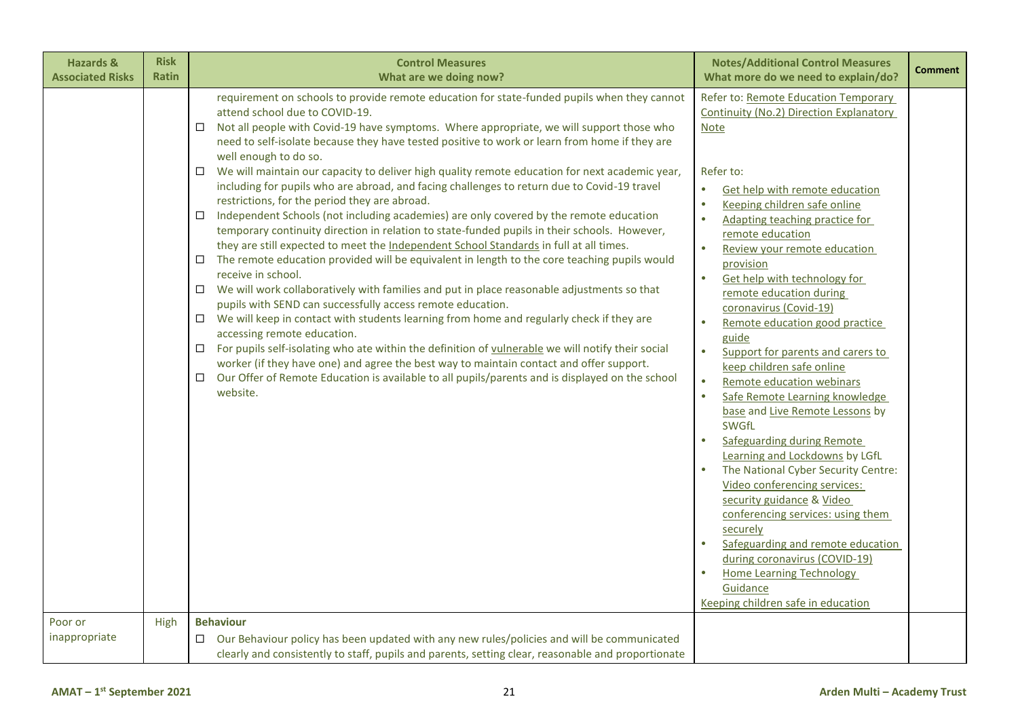| <b>Hazards &amp;</b><br><b>Associated Risks</b> | <b>Risk</b><br><b>Ratin</b> | <b>Control Measures</b><br>What are we doing now?                                                                                                                                                                                                                                                                                                                                                                                                                                                                                                                                                                                                                                                                                                                                                                                                                                                                                                                                                                                                                                                                                                                                                                                                                                                                                                                                                                                                                                                                                                                                                                                                                           | <b>Notes/Additional Control Measures</b><br>What more do we need to explain/do?                                                                                                                                                                                                                                                                                                                                                                                                                                                                                                                                                                                                                                                                                                                                                                                                                                                                                                                                                                                                              | <b>Comment</b> |
|-------------------------------------------------|-----------------------------|-----------------------------------------------------------------------------------------------------------------------------------------------------------------------------------------------------------------------------------------------------------------------------------------------------------------------------------------------------------------------------------------------------------------------------------------------------------------------------------------------------------------------------------------------------------------------------------------------------------------------------------------------------------------------------------------------------------------------------------------------------------------------------------------------------------------------------------------------------------------------------------------------------------------------------------------------------------------------------------------------------------------------------------------------------------------------------------------------------------------------------------------------------------------------------------------------------------------------------------------------------------------------------------------------------------------------------------------------------------------------------------------------------------------------------------------------------------------------------------------------------------------------------------------------------------------------------------------------------------------------------------------------------------------------------|----------------------------------------------------------------------------------------------------------------------------------------------------------------------------------------------------------------------------------------------------------------------------------------------------------------------------------------------------------------------------------------------------------------------------------------------------------------------------------------------------------------------------------------------------------------------------------------------------------------------------------------------------------------------------------------------------------------------------------------------------------------------------------------------------------------------------------------------------------------------------------------------------------------------------------------------------------------------------------------------------------------------------------------------------------------------------------------------|----------------|
|                                                 |                             | requirement on schools to provide remote education for state-funded pupils when they cannot<br>attend school due to COVID-19.<br>Not all people with Covid-19 have symptoms. Where appropriate, we will support those who<br>$\Box$<br>need to self-isolate because they have tested positive to work or learn from home if they are<br>well enough to do so.<br>We will maintain our capacity to deliver high quality remote education for next academic year,<br>□<br>including for pupils who are abroad, and facing challenges to return due to Covid-19 travel<br>restrictions, for the period they are abroad.<br>Independent Schools (not including academies) are only covered by the remote education<br>□<br>temporary continuity direction in relation to state-funded pupils in their schools. However,<br>they are still expected to meet the Independent School Standards in full at all times.<br>$\Box$ The remote education provided will be equivalent in length to the core teaching pupils would<br>receive in school.<br>We will work collaboratively with families and put in place reasonable adjustments so that<br>$\Box$<br>pupils with SEND can successfully access remote education.<br>We will keep in contact with students learning from home and regularly check if they are<br>$\Box$<br>accessing remote education.<br>□ For pupils self-isolating who ate within the definition of vulnerable we will notify their social<br>worker (if they have one) and agree the best way to maintain contact and offer support.<br>Our Offer of Remote Education is available to all pupils/parents and is displayed on the school<br>□<br>website. | Refer to: Remote Education Temporary<br>Continuity (No.2) Direction Explanatory<br><b>Note</b><br>Refer to:<br>$\bullet$<br>Get help with remote education<br>Keeping children safe online<br>$\bullet$<br>Adapting teaching practice for<br>remote education<br>$\bullet$<br>Review your remote education<br>provision<br>$\bullet$<br>Get help with technology for<br>remote education during<br>coronavirus (Covid-19)<br>Remote education good practice<br>$\bullet$<br>guide<br>$\bullet$<br>Support for parents and carers to<br>keep children safe online<br>Remote education webinars<br>$\bullet$<br>Safe Remote Learning knowledge<br>$\bullet$<br>base and Live Remote Lessons by<br><b>SWGfL</b><br>Safeguarding during Remote<br>Learning and Lockdowns by LGfL<br>The National Cyber Security Centre:<br>Video conferencing services:<br>security guidance & Video<br>conferencing services: using them<br>securely<br>Safeguarding and remote education<br>during coronavirus (COVID-19)<br><b>Home Learning Technology</b><br>Guidance<br>Keeping children safe in education |                |
| Poor or<br>inappropriate                        | High                        | <b>Behaviour</b><br>Our Behaviour policy has been updated with any new rules/policies and will be communicated<br>□<br>clearly and consistently to staff, pupils and parents, setting clear, reasonable and proportionate                                                                                                                                                                                                                                                                                                                                                                                                                                                                                                                                                                                                                                                                                                                                                                                                                                                                                                                                                                                                                                                                                                                                                                                                                                                                                                                                                                                                                                                   |                                                                                                                                                                                                                                                                                                                                                                                                                                                                                                                                                                                                                                                                                                                                                                                                                                                                                                                                                                                                                                                                                              |                |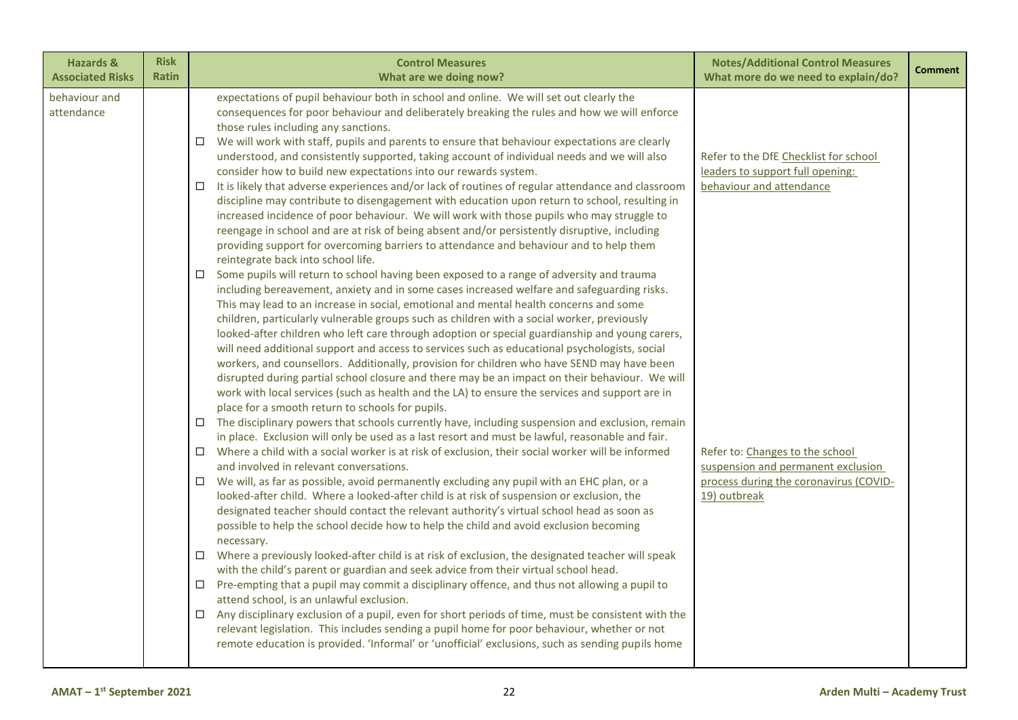| <b>Hazards &amp;</b>        | <b>Risk</b>  | <b>Control Measures</b>                                                                                                                                                                                                                                                                                                                                                                                                                                                                                                                                                                                                                                                                                                                                                                                                                                                                                                                                                                                                                                                                                                                                                                                                                                                                                                                                                                                                                                                                                                                                                                                                                                                                                                                                                                                                                                                                                                                                                                                                                                                                                                                                                                                                                                                                                                                                                                                                                                                                                                                                                                                                                                                                                                                                                                                                                                                                                                                                                                                                                                                                                                                                                                                                                                                                                                                                                                                                                                        | <b>Notes/Additional Control Measures</b>                                                                                                                                                                                                 | <b>Comment</b> |
|-----------------------------|--------------|----------------------------------------------------------------------------------------------------------------------------------------------------------------------------------------------------------------------------------------------------------------------------------------------------------------------------------------------------------------------------------------------------------------------------------------------------------------------------------------------------------------------------------------------------------------------------------------------------------------------------------------------------------------------------------------------------------------------------------------------------------------------------------------------------------------------------------------------------------------------------------------------------------------------------------------------------------------------------------------------------------------------------------------------------------------------------------------------------------------------------------------------------------------------------------------------------------------------------------------------------------------------------------------------------------------------------------------------------------------------------------------------------------------------------------------------------------------------------------------------------------------------------------------------------------------------------------------------------------------------------------------------------------------------------------------------------------------------------------------------------------------------------------------------------------------------------------------------------------------------------------------------------------------------------------------------------------------------------------------------------------------------------------------------------------------------------------------------------------------------------------------------------------------------------------------------------------------------------------------------------------------------------------------------------------------------------------------------------------------------------------------------------------------------------------------------------------------------------------------------------------------------------------------------------------------------------------------------------------------------------------------------------------------------------------------------------------------------------------------------------------------------------------------------------------------------------------------------------------------------------------------------------------------------------------------------------------------------------------------------------------------------------------------------------------------------------------------------------------------------------------------------------------------------------------------------------------------------------------------------------------------------------------------------------------------------------------------------------------------------------------------------------------------------------------------------------------------|------------------------------------------------------------------------------------------------------------------------------------------------------------------------------------------------------------------------------------------|----------------|
| <b>Associated Risks</b>     | <b>Ratin</b> | What are we doing now?                                                                                                                                                                                                                                                                                                                                                                                                                                                                                                                                                                                                                                                                                                                                                                                                                                                                                                                                                                                                                                                                                                                                                                                                                                                                                                                                                                                                                                                                                                                                                                                                                                                                                                                                                                                                                                                                                                                                                                                                                                                                                                                                                                                                                                                                                                                                                                                                                                                                                                                                                                                                                                                                                                                                                                                                                                                                                                                                                                                                                                                                                                                                                                                                                                                                                                                                                                                                                                         | What more do we need to explain/do?                                                                                                                                                                                                      |                |
| behaviour and<br>attendance |              | expectations of pupil behaviour both in school and online. We will set out clearly the<br>consequences for poor behaviour and deliberately breaking the rules and how we will enforce<br>those rules including any sanctions.<br>We will work with staff, pupils and parents to ensure that behaviour expectations are clearly<br>$\Box$<br>understood, and consistently supported, taking account of individual needs and we will also<br>consider how to build new expectations into our rewards system.<br>$\Box$ It is likely that adverse experiences and/or lack of routines of regular attendance and classroom<br>discipline may contribute to disengagement with education upon return to school, resulting in<br>increased incidence of poor behaviour. We will work with those pupils who may struggle to<br>reengage in school and are at risk of being absent and/or persistently disruptive, including<br>providing support for overcoming barriers to attendance and behaviour and to help them<br>reintegrate back into school life.<br>Some pupils will return to school having been exposed to a range of adversity and trauma<br>$\Box$<br>including bereavement, anxiety and in some cases increased welfare and safeguarding risks.<br>This may lead to an increase in social, emotional and mental health concerns and some<br>children, particularly vulnerable groups such as children with a social worker, previously<br>looked-after children who left care through adoption or special guardianship and young carers,<br>will need additional support and access to services such as educational psychologists, social<br>workers, and counsellors. Additionally, provision for children who have SEND may have been<br>disrupted during partial school closure and there may be an impact on their behaviour. We will<br>work with local services (such as health and the LA) to ensure the services and support are in<br>place for a smooth return to schools for pupils.<br>The disciplinary powers that schools currently have, including suspension and exclusion, remain<br>$\Box$<br>in place. Exclusion will only be used as a last resort and must be lawful, reasonable and fair.<br>Where a child with a social worker is at risk of exclusion, their social worker will be informed<br>$\Box$<br>and involved in relevant conversations.<br>$\Box$ We will, as far as possible, avoid permanently excluding any pupil with an EHC plan, or a<br>looked-after child. Where a looked-after child is at risk of suspension or exclusion, the<br>designated teacher should contact the relevant authority's virtual school head as soon as<br>possible to help the school decide how to help the child and avoid exclusion becoming<br>necessary.<br>$\Box$ Where a previously looked-after child is at risk of exclusion, the designated teacher will speak<br>with the child's parent or guardian and seek advice from their virtual school head.<br>Pre-empting that a pupil may commit a disciplinary offence, and thus not allowing a pupil to<br>$\Box$<br>attend school, is an unlawful exclusion.<br>$\Box$ Any disciplinary exclusion of a pupil, even for short periods of time, must be consistent with the<br>relevant legislation. This includes sending a pupil home for poor behaviour, whether or not<br>remote education is provided. 'Informal' or 'unofficial' exclusions, such as sending pupils home | Refer to the DfE Checklist for school<br>leaders to support full opening:<br>behaviour and attendance<br>Refer to: Changes to the school<br>suspension and permanent exclusion<br>process during the coronavirus (COVID-<br>19) outbreak |                |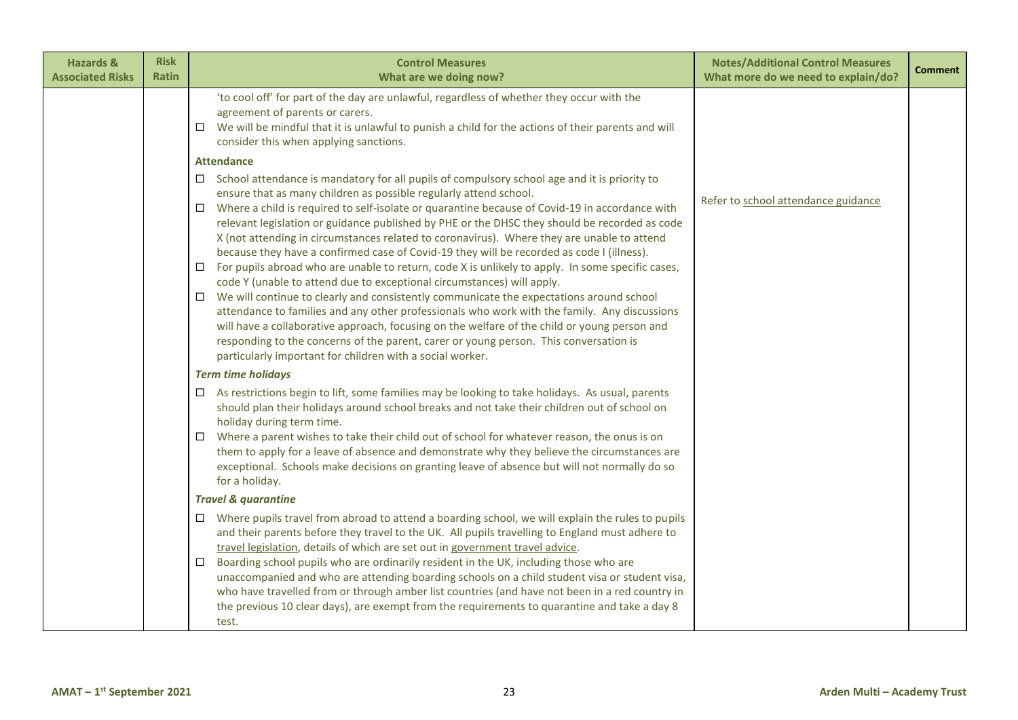| <b>Hazards &amp;</b><br><b>Associated Risks</b> | <b>Risk</b><br><b>Ratin</b> | <b>Control Measures</b><br>What are we doing now?                                                                                                                                                                                                                                                                                                                                                                                                                                                                                                                                                                                                                                                                                                                                                                                                                                                                                                                                                                                                                                                                                                                                                                                                                                                                                                                                                                                                                                                                                                                                                                                                                                                                                                                                                                                     | <b>Notes/Additional Control Measures</b><br>What more do we need to explain/do? | <b>Comment</b> |
|-------------------------------------------------|-----------------------------|---------------------------------------------------------------------------------------------------------------------------------------------------------------------------------------------------------------------------------------------------------------------------------------------------------------------------------------------------------------------------------------------------------------------------------------------------------------------------------------------------------------------------------------------------------------------------------------------------------------------------------------------------------------------------------------------------------------------------------------------------------------------------------------------------------------------------------------------------------------------------------------------------------------------------------------------------------------------------------------------------------------------------------------------------------------------------------------------------------------------------------------------------------------------------------------------------------------------------------------------------------------------------------------------------------------------------------------------------------------------------------------------------------------------------------------------------------------------------------------------------------------------------------------------------------------------------------------------------------------------------------------------------------------------------------------------------------------------------------------------------------------------------------------------------------------------------------------|---------------------------------------------------------------------------------|----------------|
|                                                 |                             | 'to cool off' for part of the day are unlawful, regardless of whether they occur with the<br>agreement of parents or carers.<br>We will be mindful that it is unlawful to punish a child for the actions of their parents and will<br>$\Box$<br>consider this when applying sanctions.                                                                                                                                                                                                                                                                                                                                                                                                                                                                                                                                                                                                                                                                                                                                                                                                                                                                                                                                                                                                                                                                                                                                                                                                                                                                                                                                                                                                                                                                                                                                                |                                                                                 |                |
|                                                 |                             | <b>Attendance</b><br>$\Box$ School attendance is mandatory for all pupils of compulsory school age and it is priority to<br>ensure that as many children as possible regularly attend school.<br>Where a child is required to self-isolate or quarantine because of Covid-19 in accordance with<br>0<br>relevant legislation or guidance published by PHE or the DHSC they should be recorded as code<br>X (not attending in circumstances related to coronavirus). Where they are unable to attend<br>because they have a confirmed case of Covid-19 they will be recorded as code I (illness).<br>For pupils abroad who are unable to return, code X is unlikely to apply. In some specific cases,<br>□<br>code Y (unable to attend due to exceptional circumstances) will apply.<br>We will continue to clearly and consistently communicate the expectations around school<br>attendance to families and any other professionals who work with the family. Any discussions<br>will have a collaborative approach, focusing on the welfare of the child or young person and<br>responding to the concerns of the parent, carer or young person. This conversation is<br>particularly important for children with a social worker.<br><b>Term time holidays</b><br>As restrictions begin to lift, some families may be looking to take holidays. As usual, parents<br>$\Box$<br>should plan their holidays around school breaks and not take their children out of school on<br>holiday during term time.<br>Where a parent wishes to take their child out of school for whatever reason, the onus is on<br>$\Box$<br>them to apply for a leave of absence and demonstrate why they believe the circumstances are<br>exceptional. Schools make decisions on granting leave of absence but will not normally do so<br>for a holiday. | Refer to school attendance guidance                                             |                |
|                                                 |                             | <b>Travel &amp; quarantine</b>                                                                                                                                                                                                                                                                                                                                                                                                                                                                                                                                                                                                                                                                                                                                                                                                                                                                                                                                                                                                                                                                                                                                                                                                                                                                                                                                                                                                                                                                                                                                                                                                                                                                                                                                                                                                        |                                                                                 |                |
|                                                 |                             | $\Box$ Where pupils travel from abroad to attend a boarding school, we will explain the rules to pupils<br>and their parents before they travel to the UK. All pupils travelling to England must adhere to<br>travel legislation, details of which are set out in government travel advice.<br>Boarding school pupils who are ordinarily resident in the UK, including those who are<br>□<br>unaccompanied and who are attending boarding schools on a child student visa or student visa,<br>who have travelled from or through amber list countries (and have not been in a red country in<br>the previous 10 clear days), are exempt from the requirements to quarantine and take a day 8<br>test.                                                                                                                                                                                                                                                                                                                                                                                                                                                                                                                                                                                                                                                                                                                                                                                                                                                                                                                                                                                                                                                                                                                                 |                                                                                 |                |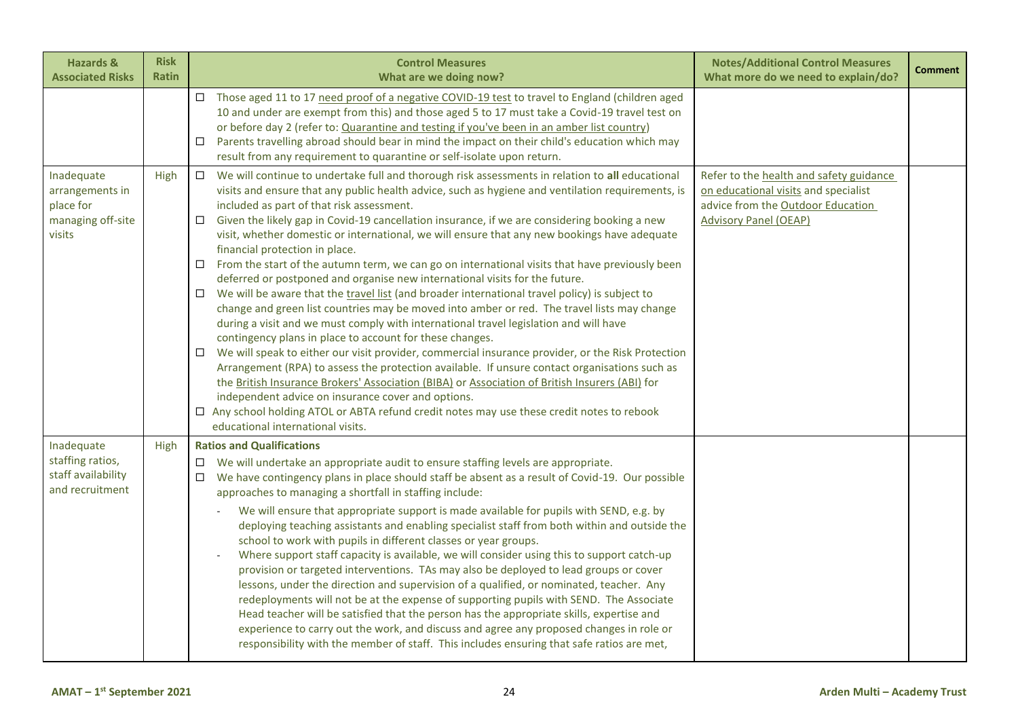| <b>Hazards &amp;</b><br><b>Associated Risks</b>                           | <b>Risk</b><br><b>Ratin</b> | <b>Control Measures</b><br>What are we doing now?                                                                                                                                                                                                                                                                                                                                                                                                                                                                                                                                                                                                                                                                                                                                                                                                                                                                                                                                                                                                                                                                                                                                                                                                                                                                                                                                                                                                                                                                                                                 | <b>Notes/Additional Control Measures</b><br>What more do we need to explain/do?                                                                      | <b>Comment</b> |
|---------------------------------------------------------------------------|-----------------------------|-------------------------------------------------------------------------------------------------------------------------------------------------------------------------------------------------------------------------------------------------------------------------------------------------------------------------------------------------------------------------------------------------------------------------------------------------------------------------------------------------------------------------------------------------------------------------------------------------------------------------------------------------------------------------------------------------------------------------------------------------------------------------------------------------------------------------------------------------------------------------------------------------------------------------------------------------------------------------------------------------------------------------------------------------------------------------------------------------------------------------------------------------------------------------------------------------------------------------------------------------------------------------------------------------------------------------------------------------------------------------------------------------------------------------------------------------------------------------------------------------------------------------------------------------------------------|------------------------------------------------------------------------------------------------------------------------------------------------------|----------------|
|                                                                           |                             | □ Those aged 11 to 17 need proof of a negative COVID-19 test to travel to England (children aged<br>10 and under are exempt from this) and those aged 5 to 17 must take a Covid-19 travel test on<br>or before day 2 (refer to: Quarantine and testing if you've been in an amber list country)<br>Parents travelling abroad should bear in mind the impact on their child's education which may<br>$\Box$<br>result from any requirement to quarantine or self-isolate upon return.                                                                                                                                                                                                                                                                                                                                                                                                                                                                                                                                                                                                                                                                                                                                                                                                                                                                                                                                                                                                                                                                              |                                                                                                                                                      |                |
| Inadequate<br>arrangements in<br>place for<br>managing off-site<br>visits | High                        | We will continue to undertake full and thorough risk assessments in relation to all educational<br>$\Box$<br>visits and ensure that any public health advice, such as hygiene and ventilation requirements, is<br>included as part of that risk assessment.<br>Given the likely gap in Covid-19 cancellation insurance, if we are considering booking a new<br>$\Box$<br>visit, whether domestic or international, we will ensure that any new bookings have adequate<br>financial protection in place.<br>$\Box$ From the start of the autumn term, we can go on international visits that have previously been<br>deferred or postponed and organise new international visits for the future.<br>$\Box$ We will be aware that the travel list (and broader international travel policy) is subject to<br>change and green list countries may be moved into amber or red. The travel lists may change<br>during a visit and we must comply with international travel legislation and will have<br>contingency plans in place to account for these changes.<br>We will speak to either our visit provider, commercial insurance provider, or the Risk Protection<br>□<br>Arrangement (RPA) to assess the protection available. If unsure contact organisations such as<br>the British Insurance Brokers' Association (BIBA) or Association of British Insurers (ABI) for<br>independent advice on insurance cover and options.<br>□ Any school holding ATOL or ABTA refund credit notes may use these credit notes to rebook<br>educational international visits. | Refer to the health and safety guidance<br>on educational visits and specialist<br>advice from the Outdoor Education<br><b>Advisory Panel (OEAP)</b> |                |
| Inadequate<br>staffing ratios,<br>staff availability<br>and recruitment   | High                        | <b>Ratios and Qualifications</b><br>$\Box$ We will undertake an appropriate audit to ensure staffing levels are appropriate.<br>$\Box$ We have contingency plans in place should staff be absent as a result of Covid-19. Our possible<br>approaches to managing a shortfall in staffing include:<br>We will ensure that appropriate support is made available for pupils with SEND, e.g. by<br>$\sim$<br>deploying teaching assistants and enabling specialist staff from both within and outside the<br>school to work with pupils in different classes or year groups.<br>Where support staff capacity is available, we will consider using this to support catch-up<br>provision or targeted interventions. TAs may also be deployed to lead groups or cover<br>lessons, under the direction and supervision of a qualified, or nominated, teacher. Any<br>redeployments will not be at the expense of supporting pupils with SEND. The Associate<br>Head teacher will be satisfied that the person has the appropriate skills, expertise and<br>experience to carry out the work, and discuss and agree any proposed changes in role or<br>responsibility with the member of staff. This includes ensuring that safe ratios are met,                                                                                                                                                                                                                                                                                                                         |                                                                                                                                                      |                |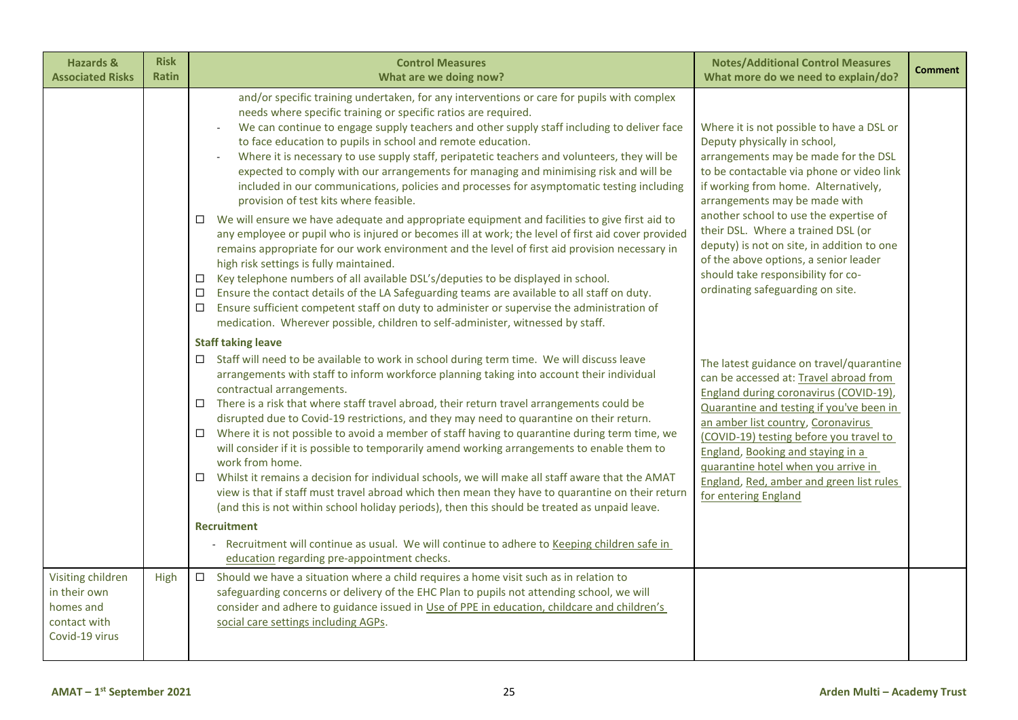| <b>Hazards &amp;</b><br><b>Associated Risks</b>                                  | <b>Risk</b><br><b>Ratin</b> | <b>Control Measures</b><br>What are we doing now?                                                                                                                                                                                                                                                                                                                                                                                                                                                                                                                                                                                                                                                                                                                                                                                                                                                                                                                                                                                                                                                                                                                                                                                                                                                                                                                                                               | <b>Notes/Additional Control Measures</b><br>What more do we need to explain/do?                                                                                                                                                                                                                                                                                                                                                                                                          | <b>Comment</b> |
|----------------------------------------------------------------------------------|-----------------------------|-----------------------------------------------------------------------------------------------------------------------------------------------------------------------------------------------------------------------------------------------------------------------------------------------------------------------------------------------------------------------------------------------------------------------------------------------------------------------------------------------------------------------------------------------------------------------------------------------------------------------------------------------------------------------------------------------------------------------------------------------------------------------------------------------------------------------------------------------------------------------------------------------------------------------------------------------------------------------------------------------------------------------------------------------------------------------------------------------------------------------------------------------------------------------------------------------------------------------------------------------------------------------------------------------------------------------------------------------------------------------------------------------------------------|------------------------------------------------------------------------------------------------------------------------------------------------------------------------------------------------------------------------------------------------------------------------------------------------------------------------------------------------------------------------------------------------------------------------------------------------------------------------------------------|----------------|
|                                                                                  |                             | and/or specific training undertaken, for any interventions or care for pupils with complex<br>needs where specific training or specific ratios are required.<br>We can continue to engage supply teachers and other supply staff including to deliver face<br>$\sim$<br>to face education to pupils in school and remote education.<br>Where it is necessary to use supply staff, peripatetic teachers and volunteers, they will be<br>expected to comply with our arrangements for managing and minimising risk and will be<br>included in our communications, policies and processes for asymptomatic testing including<br>provision of test kits where feasible.<br>We will ensure we have adequate and appropriate equipment and facilities to give first aid to<br>any employee or pupil who is injured or becomes ill at work; the level of first aid cover provided<br>remains appropriate for our work environment and the level of first aid provision necessary in<br>high risk settings is fully maintained.<br>Key telephone numbers of all available DSL's/deputies to be displayed in school.<br>$\Box$<br>Ensure the contact details of the LA Safeguarding teams are available to all staff on duty.<br>□<br>Ensure sufficient competent staff on duty to administer or supervise the administration of<br>□<br>medication. Wherever possible, children to self-administer, witnessed by staff. | Where it is not possible to have a DSL or<br>Deputy physically in school,<br>arrangements may be made for the DSL<br>to be contactable via phone or video link<br>if working from home. Alternatively,<br>arrangements may be made with<br>another school to use the expertise of<br>their DSL. Where a trained DSL (or<br>deputy) is not on site, in addition to one<br>of the above options, a senior leader<br>should take responsibility for co-<br>ordinating safeguarding on site. |                |
|                                                                                  |                             | <b>Staff taking leave</b><br>□ Staff will need to be available to work in school during term time. We will discuss leave<br>arrangements with staff to inform workforce planning taking into account their individual<br>contractual arrangements.<br>There is a risk that where staff travel abroad, their return travel arrangements could be<br>$\Box$<br>disrupted due to Covid-19 restrictions, and they may need to quarantine on their return.<br>Where it is not possible to avoid a member of staff having to quarantine during term time, we<br>$\Box$<br>will consider if it is possible to temporarily amend working arrangements to enable them to<br>work from home.<br>Whilst it remains a decision for individual schools, we will make all staff aware that the AMAT<br>$\Box$<br>view is that if staff must travel abroad which then mean they have to quarantine on their return<br>(and this is not within school holiday periods), then this should be treated as unpaid leave.<br><b>Recruitment</b><br>Recruitment will continue as usual. We will continue to adhere to Keeping children safe in<br>education regarding pre-appointment checks.                                                                                                                                                                                                                                         | The latest guidance on travel/quarantine<br>can be accessed at: Travel abroad from<br>England during coronavirus (COVID-19),<br>Quarantine and testing if you've been in<br>an amber list country, Coronavirus<br>(COVID-19) testing before you travel to<br>England, Booking and staying in a<br>quarantine hotel when you arrive in<br>England, Red, amber and green list rules<br>for entering England                                                                                |                |
| Visiting children<br>in their own<br>homes and<br>contact with<br>Covid-19 virus | High                        | Should we have a situation where a child requires a home visit such as in relation to<br>$\Box$<br>safeguarding concerns or delivery of the EHC Plan to pupils not attending school, we will<br>consider and adhere to guidance issued in Use of PPE in education, childcare and children's<br>social care settings including AGPs.                                                                                                                                                                                                                                                                                                                                                                                                                                                                                                                                                                                                                                                                                                                                                                                                                                                                                                                                                                                                                                                                             |                                                                                                                                                                                                                                                                                                                                                                                                                                                                                          |                |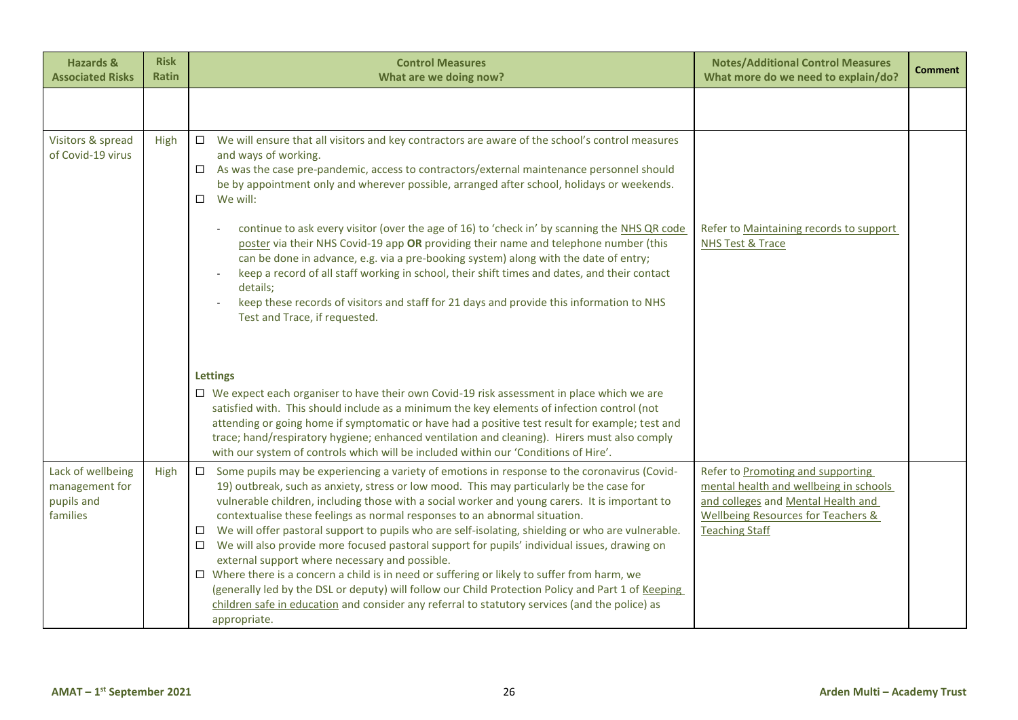| <b>Hazards &amp;</b><br><b>Associated Risks</b>               | <b>Risk</b><br><b>Ratin</b> | <b>Control Measures</b><br>What are we doing now?                                                                                                                                                                                                                                                                                                                                                                                                                                                                                                                                                                                                                                                                                                                                                                                                                                                                                                                                          | <b>Notes/Additional Control Measures</b><br>What more do we need to explain/do?                                                                                                             | <b>Comment</b> |
|---------------------------------------------------------------|-----------------------------|--------------------------------------------------------------------------------------------------------------------------------------------------------------------------------------------------------------------------------------------------------------------------------------------------------------------------------------------------------------------------------------------------------------------------------------------------------------------------------------------------------------------------------------------------------------------------------------------------------------------------------------------------------------------------------------------------------------------------------------------------------------------------------------------------------------------------------------------------------------------------------------------------------------------------------------------------------------------------------------------|---------------------------------------------------------------------------------------------------------------------------------------------------------------------------------------------|----------------|
|                                                               |                             |                                                                                                                                                                                                                                                                                                                                                                                                                                                                                                                                                                                                                                                                                                                                                                                                                                                                                                                                                                                            |                                                                                                                                                                                             |                |
| Visitors & spread<br>of Covid-19 virus                        | High                        | $\Box$ We will ensure that all visitors and key contractors are aware of the school's control measures<br>and ways of working.<br>$\Box$ As was the case pre-pandemic, access to contractors/external maintenance personnel should<br>be by appointment only and wherever possible, arranged after school, holidays or weekends.<br>$\Box$<br>We will:<br>continue to ask every visitor (over the age of 16) to 'check in' by scanning the NHS QR code<br>poster via their NHS Covid-19 app OR providing their name and telephone number (this<br>can be done in advance, e.g. via a pre-booking system) along with the date of entry;<br>keep a record of all staff working in school, their shift times and dates, and their contact<br>details;<br>keep these records of visitors and staff for 21 days and provide this information to NHS<br>Test and Trace, if requested.                                                                                                            | Refer to Maintaining records to support<br><b>NHS Test &amp; Trace</b>                                                                                                                      |                |
|                                                               |                             | <b>Lettings</b><br>□ We expect each organiser to have their own Covid-19 risk assessment in place which we are<br>satisfied with. This should include as a minimum the key elements of infection control (not<br>attending or going home if symptomatic or have had a positive test result for example; test and<br>trace; hand/respiratory hygiene; enhanced ventilation and cleaning). Hirers must also comply<br>with our system of controls which will be included within our 'Conditions of Hire'.                                                                                                                                                                                                                                                                                                                                                                                                                                                                                    |                                                                                                                                                                                             |                |
| Lack of wellbeing<br>management for<br>pupils and<br>families | High                        | Some pupils may be experiencing a variety of emotions in response to the coronavirus (Covid-<br>$\Box$<br>19) outbreak, such as anxiety, stress or low mood. This may particularly be the case for<br>vulnerable children, including those with a social worker and young carers. It is important to<br>contextualise these feelings as normal responses to an abnormal situation.<br>We will offer pastoral support to pupils who are self-isolating, shielding or who are vulnerable.<br>$\Box$<br>We will also provide more focused pastoral support for pupils' individual issues, drawing on<br>$\Box$<br>external support where necessary and possible.<br>$\Box$ Where there is a concern a child is in need or suffering or likely to suffer from harm, we<br>(generally led by the DSL or deputy) will follow our Child Protection Policy and Part 1 of Keeping<br>children safe in education and consider any referral to statutory services (and the police) as<br>appropriate. | Refer to Promoting and supporting<br>mental health and wellbeing in schools<br>and colleges and Mental Health and<br><b>Wellbeing Resources for Teachers &amp;</b><br><b>Teaching Staff</b> |                |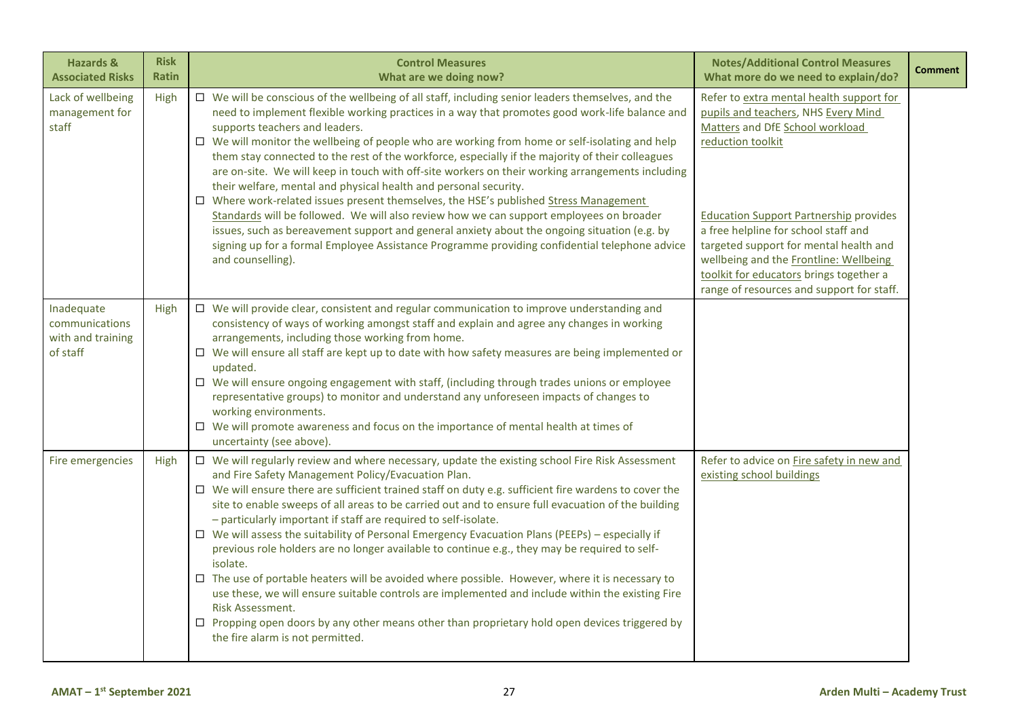| <b>Hazards &amp;</b><br><b>Associated Risks</b>               | <b>Risk</b><br><b>Ratin</b> | <b>Control Measures</b><br>What are we doing now?                                                                                                                                                                                                                                                                                                                                                                                                                                                                                                                                                                                                                                                                                                                                                                                                                                                                                                                                                                                                 | <b>Notes/Additional Control Measures</b><br>What more do we need to explain/do?                                                                                                                                                                                                                                                                                                                              | <b>Comment</b> |
|---------------------------------------------------------------|-----------------------------|---------------------------------------------------------------------------------------------------------------------------------------------------------------------------------------------------------------------------------------------------------------------------------------------------------------------------------------------------------------------------------------------------------------------------------------------------------------------------------------------------------------------------------------------------------------------------------------------------------------------------------------------------------------------------------------------------------------------------------------------------------------------------------------------------------------------------------------------------------------------------------------------------------------------------------------------------------------------------------------------------------------------------------------------------|--------------------------------------------------------------------------------------------------------------------------------------------------------------------------------------------------------------------------------------------------------------------------------------------------------------------------------------------------------------------------------------------------------------|----------------|
| Lack of wellbeing<br>management for<br>staff                  | High                        | $\Box$ We will be conscious of the wellbeing of all staff, including senior leaders themselves, and the<br>need to implement flexible working practices in a way that promotes good work-life balance and<br>supports teachers and leaders.<br>$\Box$ We will monitor the wellbeing of people who are working from home or self-isolating and help<br>them stay connected to the rest of the workforce, especially if the majority of their colleagues<br>are on-site. We will keep in touch with off-site workers on their working arrangements including<br>their welfare, mental and physical health and personal security.<br>$\square$ Where work-related issues present themselves, the HSE's published Stress Management<br>Standards will be followed. We will also review how we can support employees on broader<br>issues, such as bereavement support and general anxiety about the ongoing situation (e.g. by<br>signing up for a formal Employee Assistance Programme providing confidential telephone advice<br>and counselling).  | Refer to extra mental health support for<br>pupils and teachers, NHS Every Mind<br>Matters and DfE School workload<br>reduction toolkit<br><b>Education Support Partnership provides</b><br>a free helpline for school staff and<br>targeted support for mental health and<br>wellbeing and the Frontline: Wellbeing<br>toolkit for educators brings together a<br>range of resources and support for staff. |                |
| Inadequate<br>communications<br>with and training<br>of staff | High                        | $\Box$ We will provide clear, consistent and regular communication to improve understanding and<br>consistency of ways of working amongst staff and explain and agree any changes in working<br>arrangements, including those working from home.<br>$\Box$ We will ensure all staff are kept up to date with how safety measures are being implemented or<br>updated.<br>$\Box$ We will ensure ongoing engagement with staff, (including through trades unions or employee<br>representative groups) to monitor and understand any unforeseen impacts of changes to<br>working environments.<br>$\Box$ We will promote awareness and focus on the importance of mental health at times of<br>uncertainty (see above).                                                                                                                                                                                                                                                                                                                             |                                                                                                                                                                                                                                                                                                                                                                                                              |                |
| Fire emergencies                                              | High                        | $\Box$ We will regularly review and where necessary, update the existing school Fire Risk Assessment<br>and Fire Safety Management Policy/Evacuation Plan.<br>$\Box$ We will ensure there are sufficient trained staff on duty e.g. sufficient fire wardens to cover the<br>site to enable sweeps of all areas to be carried out and to ensure full evacuation of the building<br>- particularly important if staff are required to self-isolate.<br>$\Box$ We will assess the suitability of Personal Emergency Evacuation Plans (PEEPs) – especially if<br>previous role holders are no longer available to continue e.g., they may be required to self-<br>isolate.<br>$\Box$ The use of portable heaters will be avoided where possible. However, where it is necessary to<br>use these, we will ensure suitable controls are implemented and include within the existing Fire<br>Risk Assessment.<br>$\Box$ Propping open doors by any other means other than proprietary hold open devices triggered by<br>the fire alarm is not permitted. | Refer to advice on Fire safety in new and<br>existing school buildings                                                                                                                                                                                                                                                                                                                                       |                |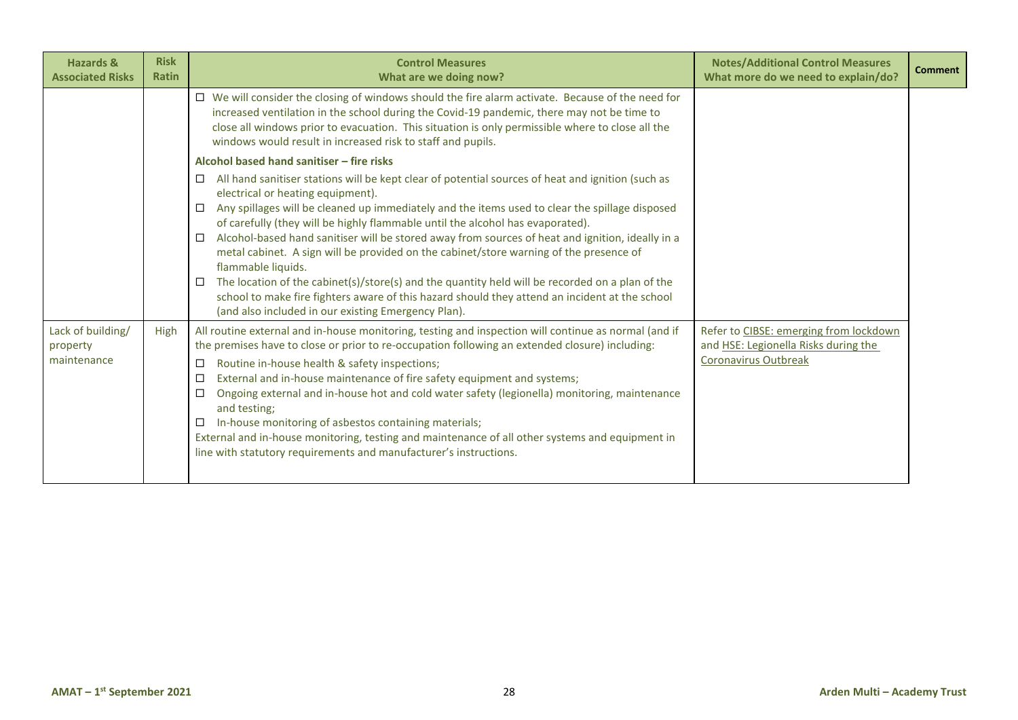| <b>Hazards &amp;</b><br><b>Associated Risks</b> | <b>Risk</b><br><b>Ratin</b> | <b>Control Measures</b><br>What are we doing now?                                                                                                                                                                                                                                                                                                                                                                                                                                                                                                                                                                                                                                                                                                                                                                              | <b>Notes/Additional Control Measures</b><br>What more do we need to explain/do?                        | <b>Comment</b> |
|-------------------------------------------------|-----------------------------|--------------------------------------------------------------------------------------------------------------------------------------------------------------------------------------------------------------------------------------------------------------------------------------------------------------------------------------------------------------------------------------------------------------------------------------------------------------------------------------------------------------------------------------------------------------------------------------------------------------------------------------------------------------------------------------------------------------------------------------------------------------------------------------------------------------------------------|--------------------------------------------------------------------------------------------------------|----------------|
|                                                 |                             | $\Box$ We will consider the closing of windows should the fire alarm activate. Because of the need for<br>increased ventilation in the school during the Covid-19 pandemic, there may not be time to<br>close all windows prior to evacuation. This situation is only permissible where to close all the<br>windows would result in increased risk to staff and pupils.                                                                                                                                                                                                                                                                                                                                                                                                                                                        |                                                                                                        |                |
|                                                 |                             | Alcohol based hand sanitiser - fire risks                                                                                                                                                                                                                                                                                                                                                                                                                                                                                                                                                                                                                                                                                                                                                                                      |                                                                                                        |                |
|                                                 |                             | All hand sanitiser stations will be kept clear of potential sources of heat and ignition (such as<br>□<br>electrical or heating equipment).<br>Any spillages will be cleaned up immediately and the items used to clear the spillage disposed<br>□<br>of carefully (they will be highly flammable until the alcohol has evaporated).<br>Alcohol-based hand sanitiser will be stored away from sources of heat and ignition, ideally in a<br>□<br>metal cabinet. A sign will be provided on the cabinet/store warning of the presence of<br>flammable liquids.<br>The location of the cabinet(s)/store(s) and the quantity held will be recorded on a plan of the<br>□<br>school to make fire fighters aware of this hazard should they attend an incident at the school<br>(and also included in our existing Emergency Plan). |                                                                                                        |                |
| Lack of building/<br>property<br>maintenance    | High                        | All routine external and in-house monitoring, testing and inspection will continue as normal (and if<br>the premises have to close or prior to re-occupation following an extended closure) including:<br>Routine in-house health & safety inspections;<br>□<br>External and in-house maintenance of fire safety equipment and systems;<br>□<br>Ongoing external and in-house hot and cold water safety (legionella) monitoring, maintenance<br>□<br>and testing;<br>In-house monitoring of asbestos containing materials;<br>□<br>External and in-house monitoring, testing and maintenance of all other systems and equipment in<br>line with statutory requirements and manufacturer's instructions.                                                                                                                        | Refer to CIBSE: emerging from lockdown<br>and HSE: Legionella Risks during the<br>Coronavirus Outbreak |                |